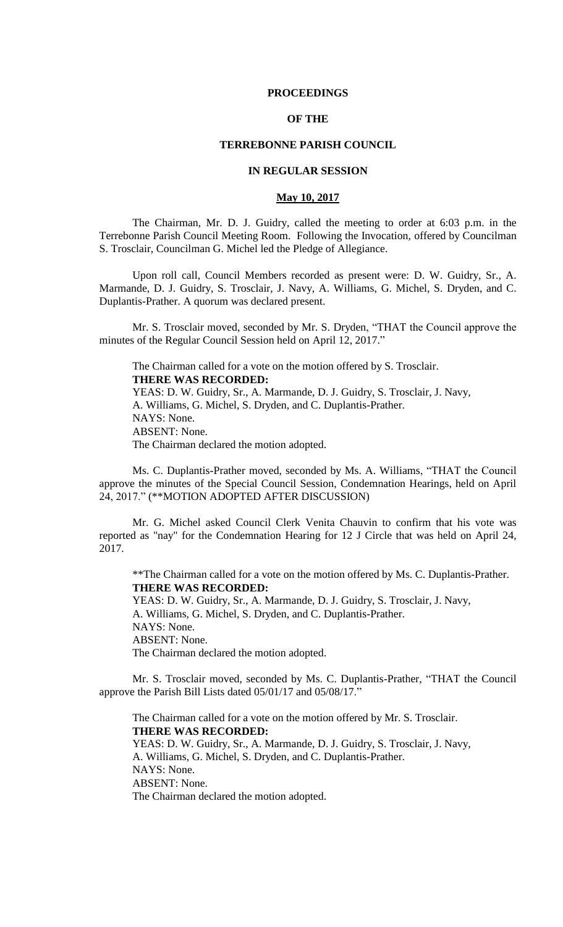#### **PROCEEDINGS**

## **OF THE**

## **TERREBONNE PARISH COUNCIL**

## **IN REGULAR SESSION**

## **May 10, 2017**

The Chairman, Mr. D. J. Guidry, called the meeting to order at 6:03 p.m. in the Terrebonne Parish Council Meeting Room. Following the Invocation, offered by Councilman S. Trosclair, Councilman G. Michel led the Pledge of Allegiance.

Upon roll call, Council Members recorded as present were: D. W. Guidry, Sr., A. Marmande, D. J. Guidry, S. Trosclair, J. Navy, A. Williams, G. Michel, S. Dryden, and C. Duplantis-Prather. A quorum was declared present.

Mr. S. Trosclair moved, seconded by Mr. S. Dryden, "THAT the Council approve the minutes of the Regular Council Session held on April 12, 2017."

The Chairman called for a vote on the motion offered by S. Trosclair. **THERE WAS RECORDED:** YEAS: D. W. Guidry, Sr., A. Marmande, D. J. Guidry, S. Trosclair, J. Navy, A. Williams, G. Michel, S. Dryden, and C. Duplantis-Prather. NAYS: None. ABSENT: None. The Chairman declared the motion adopted.

Ms. C. Duplantis-Prather moved, seconded by Ms. A. Williams, "THAT the Council approve the minutes of the Special Council Session, Condemnation Hearings, held on April 24, 2017." (\*\*MOTION ADOPTED AFTER DISCUSSION)

Mr. G. Michel asked Council Clerk Venita Chauvin to confirm that his vote was reported as "nay" for the Condemnation Hearing for 12 J Circle that was held on April 24, 2017.

\*\*The Chairman called for a vote on the motion offered by Ms. C. Duplantis-Prather. **THERE WAS RECORDED:** YEAS: D. W. Guidry, Sr., A. Marmande, D. J. Guidry, S. Trosclair, J. Navy,

A. Williams, G. Michel, S. Dryden, and C. Duplantis-Prather. NAYS: None. ABSENT: None. The Chairman declared the motion adopted.

Mr. S. Trosclair moved, seconded by Ms. C. Duplantis-Prather, "THAT the Council approve the Parish Bill Lists dated 05/01/17 and 05/08/17."

The Chairman called for a vote on the motion offered by Mr. S. Trosclair. **THERE WAS RECORDED:** YEAS: D. W. Guidry, Sr., A. Marmande, D. J. Guidry, S. Trosclair, J. Navy, A. Williams, G. Michel, S. Dryden, and C. Duplantis-Prather. NAYS: None. ABSENT: None. The Chairman declared the motion adopted.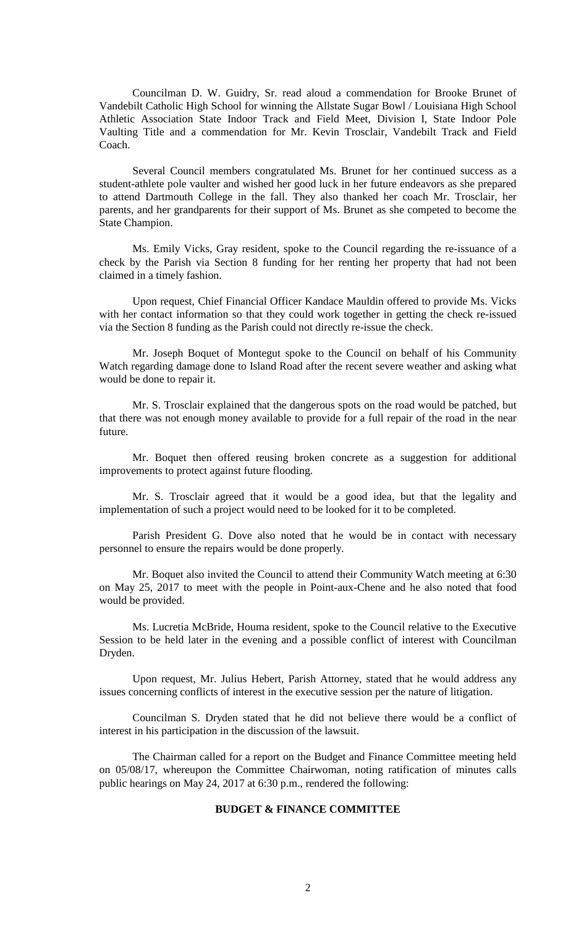Councilman D. W. Guidry, Sr. read aloud a commendation for Brooke Brunet of Vandebilt Catholic High School for winning the Allstate Sugar Bowl / Louisiana High School Athletic Association State Indoor Track and Field Meet, Division I, State Indoor Pole Vaulting Title and a commendation for Mr. Kevin Trosclair, Vandebilt Track and Field Coach.

Several Council members congratulated Ms. Brunet for her continued success as a student-athlete pole vaulter and wished her good luck in her future endeavors as she prepared to attend Dartmouth College in the fall. They also thanked her coach Mr. Trosclair, her parents, and her grandparents for their support of Ms. Brunet as she competed to become the State Champion.

Ms. Emily Vicks, Gray resident, spoke to the Council regarding the re-issuance of a check by the Parish via Section 8 funding for her renting her property that had not been claimed in a timely fashion.

Upon request, Chief Financial Officer Kandace Mauldin offered to provide Ms. Vicks with her contact information so that they could work together in getting the check re-issued via the Section 8 funding as the Parish could not directly re-issue the check.

Mr. Joseph Boquet of Montegut spoke to the Council on behalf of his Community Watch regarding damage done to Island Road after the recent severe weather and asking what would be done to repair it.

Mr. S. Trosclair explained that the dangerous spots on the road would be patched, but that there was not enough money available to provide for a full repair of the road in the near future.

Mr. Boquet then offered reusing broken concrete as a suggestion for additional improvements to protect against future flooding.

Mr. S. Trosclair agreed that it would be a good idea, but that the legality and implementation of such a project would need to be looked for it to be completed.

Parish President G. Dove also noted that he would be in contact with necessary personnel to ensure the repairs would be done properly.

Mr. Boquet also invited the Council to attend their Community Watch meeting at 6:30 on May 25, 2017 to meet with the people in Point-aux-Chene and he also noted that food would be provided.

Ms. Lucretia McBride, Houma resident, spoke to the Council relative to the Executive Session to be held later in the evening and a possible conflict of interest with Councilman Dryden.

Upon request, Mr. Julius Hebert, Parish Attorney, stated that he would address any issues concerning conflicts of interest in the executive session per the nature of litigation.

Councilman S. Dryden stated that he did not believe there would be a conflict of interest in his participation in the discussion of the lawsuit.

The Chairman called for a report on the Budget and Finance Committee meeting held on 05/08/17, whereupon the Committee Chairwoman, noting ratification of minutes calls public hearings on May 24, 2017 at 6:30 p.m., rendered the following:

## **BUDGET & FINANCE COMMITTEE**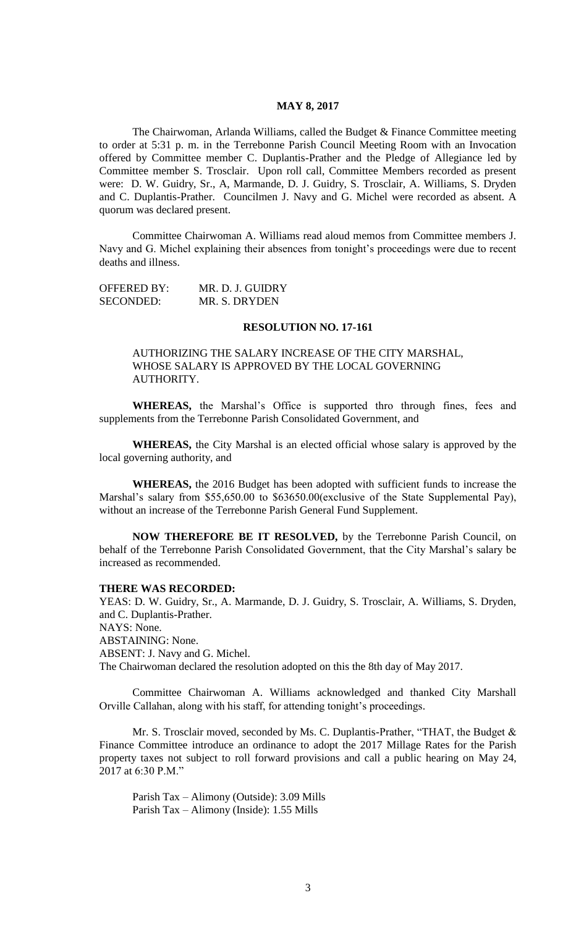## **MAY 8, 2017**

The Chairwoman, Arlanda Williams, called the Budget & Finance Committee meeting to order at 5:31 p. m. in the Terrebonne Parish Council Meeting Room with an Invocation offered by Committee member C. Duplantis-Prather and the Pledge of Allegiance led by Committee member S. Trosclair. Upon roll call, Committee Members recorded as present were: D. W. Guidry, Sr., A, Marmande, D. J. Guidry, S. Trosclair, A. Williams, S. Dryden and C. Duplantis-Prather. Councilmen J. Navy and G. Michel were recorded as absent. A quorum was declared present.

Committee Chairwoman A. Williams read aloud memos from Committee members J. Navy and G. Michel explaining their absences from tonight's proceedings were due to recent deaths and illness.

| <b>OFFERED BY:</b> | MR. D. J. GUIDRY |
|--------------------|------------------|
| SECONDED:          | MR. S. DRYDEN    |

#### **RESOLUTION NO. 17-161**

## AUTHORIZING THE SALARY INCREASE OF THE CITY MARSHAL, WHOSE SALARY IS APPROVED BY THE LOCAL GOVERNING AUTHORITY.

**WHEREAS,** the Marshal's Office is supported thro through fines, fees and supplements from the Terrebonne Parish Consolidated Government, and

**WHEREAS,** the City Marshal is an elected official whose salary is approved by the local governing authority, and

**WHEREAS,** the 2016 Budget has been adopted with sufficient funds to increase the Marshal's salary from \$55,650.00 to \$63650.00(exclusive of the State Supplemental Pay), without an increase of the Terrebonne Parish General Fund Supplement.

**NOW THEREFORE BE IT RESOLVED,** by the Terrebonne Parish Council, on behalf of the Terrebonne Parish Consolidated Government, that the City Marshal's salary be increased as recommended.

#### **THERE WAS RECORDED:**

YEAS: D. W. Guidry, Sr., A. Marmande, D. J. Guidry, S. Trosclair, A. Williams, S. Dryden, and C. Duplantis-Prather. NAYS: None. ABSTAINING: None. ABSENT: J. Navy and G. Michel. The Chairwoman declared the resolution adopted on this the 8th day of May 2017.

Committee Chairwoman A. Williams acknowledged and thanked City Marshall Orville Callahan, along with his staff, for attending tonight's proceedings.

Mr. S. Trosclair moved, seconded by Ms. C. Duplantis-Prather, "THAT, the Budget & Finance Committee introduce an ordinance to adopt the 2017 Millage Rates for the Parish property taxes not subject to roll forward provisions and call a public hearing on May 24, 2017 at 6:30 P.M."

Parish Tax – Alimony (Outside): 3.09 Mills Parish Tax – Alimony (Inside): 1.55 Mills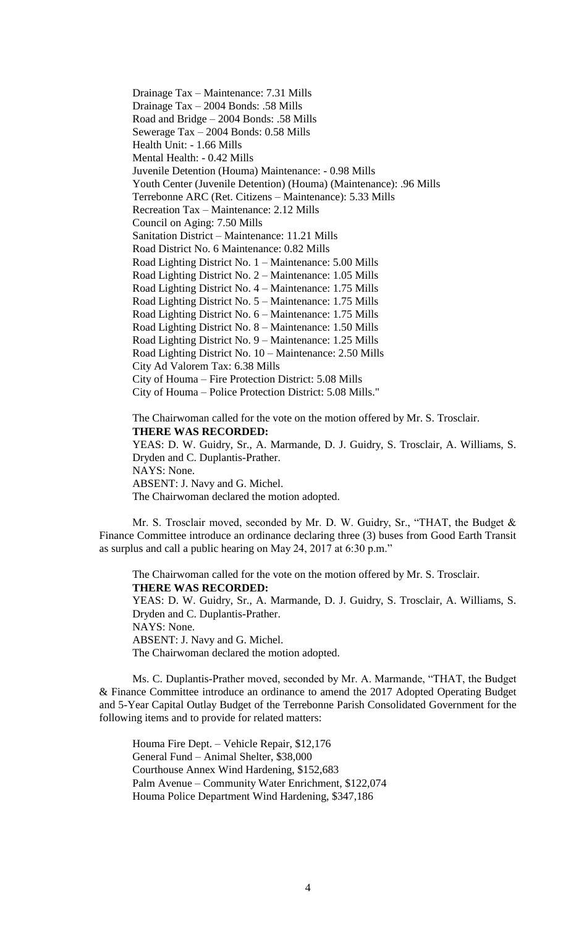Drainage Tax – Maintenance: 7.31 Mills Drainage Tax – 2004 Bonds: .58 Mills Road and Bridge – 2004 Bonds: .58 Mills Sewerage Tax – 2004 Bonds: 0.58 Mills Health Unit: - 1.66 Mills Mental Health: - 0.42 Mills Juvenile Detention (Houma) Maintenance: - 0.98 Mills Youth Center (Juvenile Detention) (Houma) (Maintenance): .96 Mills Terrebonne ARC (Ret. Citizens – Maintenance): 5.33 Mills Recreation Tax – Maintenance: 2.12 Mills Council on Aging: 7.50 Mills Sanitation District – Maintenance: 11.21 Mills Road District No. 6 Maintenance: 0.82 Mills Road Lighting District No. 1 – Maintenance: 5.00 Mills Road Lighting District No. 2 – Maintenance: 1.05 Mills Road Lighting District No. 4 – Maintenance: 1.75 Mills Road Lighting District No. 5 – Maintenance: 1.75 Mills Road Lighting District No. 6 – Maintenance: 1.75 Mills Road Lighting District No. 8 – Maintenance: 1.50 Mills Road Lighting District No. 9 – Maintenance: 1.25 Mills Road Lighting District No. 10 – Maintenance: 2.50 Mills City Ad Valorem Tax: 6.38 Mills City of Houma – Fire Protection District: 5.08 Mills City of Houma – Police Protection District: 5.08 Mills."

The Chairwoman called for the vote on the motion offered by Mr. S. Trosclair. **THERE WAS RECORDED:** YEAS: D. W. Guidry, Sr., A. Marmande, D. J. Guidry, S. Trosclair, A. Williams, S.

Dryden and C. Duplantis-Prather. NAYS: None. ABSENT: J. Navy and G. Michel.

The Chairwoman declared the motion adopted.

Mr. S. Trosclair moved, seconded by Mr. D. W. Guidry, Sr., "THAT, the Budget & Finance Committee introduce an ordinance declaring three (3) buses from Good Earth Transit as surplus and call a public hearing on May 24, 2017 at 6:30 p.m."

The Chairwoman called for the vote on the motion offered by Mr. S. Trosclair. **THERE WAS RECORDED:** YEAS: D. W. Guidry, Sr., A. Marmande, D. J. Guidry, S. Trosclair, A. Williams, S. Dryden and C. Duplantis-Prather. NAYS: None. ABSENT: J. Navy and G. Michel.

The Chairwoman declared the motion adopted.

Ms. C. Duplantis-Prather moved, seconded by Mr. A. Marmande, "THAT, the Budget & Finance Committee introduce an ordinance to amend the 2017 Adopted Operating Budget and 5-Year Capital Outlay Budget of the Terrebonne Parish Consolidated Government for the following items and to provide for related matters:

Houma Fire Dept. – Vehicle Repair, \$12,176 General Fund – Animal Shelter, \$38,000 Courthouse Annex Wind Hardening, \$152,683 Palm Avenue – Community Water Enrichment, \$122,074 Houma Police Department Wind Hardening, \$347,186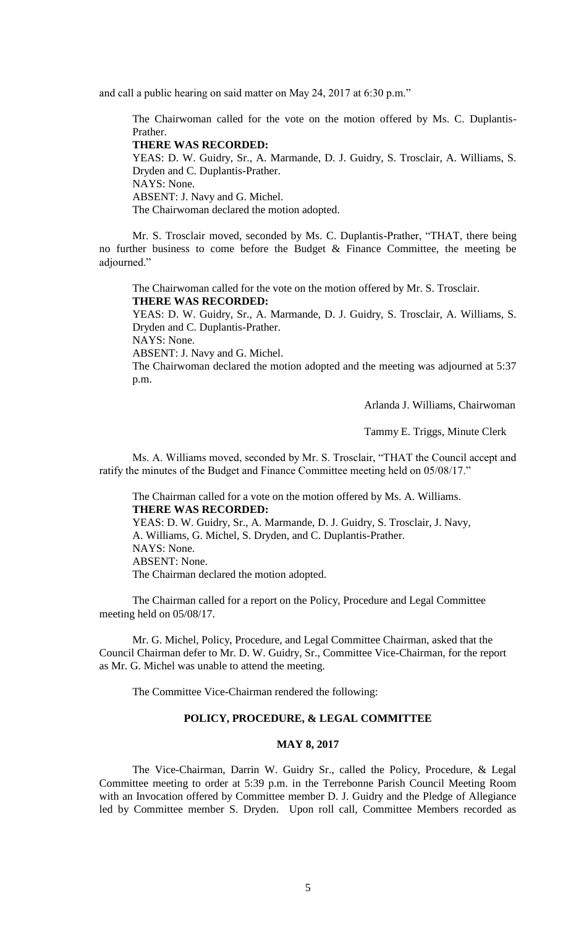and call a public hearing on said matter on May 24, 2017 at 6:30 p.m."

The Chairwoman called for the vote on the motion offered by Ms. C. Duplantis-Prather.

#### **THERE WAS RECORDED:**

YEAS: D. W. Guidry, Sr., A. Marmande, D. J. Guidry, S. Trosclair, A. Williams, S. Dryden and C. Duplantis-Prather. NAYS: None. ABSENT: J. Navy and G. Michel. The Chairwoman declared the motion adopted.

Mr. S. Trosclair moved, seconded by Ms. C. Duplantis-Prather, "THAT, there being no further business to come before the Budget  $\&$  Finance Committee, the meeting be adjourned."

The Chairwoman called for the vote on the motion offered by Mr. S. Trosclair. **THERE WAS RECORDED:** YEAS: D. W. Guidry, Sr., A. Marmande, D. J. Guidry, S. Trosclair, A. Williams, S. Dryden and C. Duplantis-Prather. NAYS: None. ABSENT: J. Navy and G. Michel. The Chairwoman declared the motion adopted and the meeting was adjourned at 5:37

p.m.

Arlanda J. Williams, Chairwoman

Tammy E. Triggs, Minute Clerk

Ms. A. Williams moved, seconded by Mr. S. Trosclair, "THAT the Council accept and ratify the minutes of the Budget and Finance Committee meeting held on 05/08/17."

The Chairman called for a vote on the motion offered by Ms. A. Williams. **THERE WAS RECORDED:** YEAS: D. W. Guidry, Sr., A. Marmande, D. J. Guidry, S. Trosclair, J. Navy, A. Williams, G. Michel, S. Dryden, and C. Duplantis-Prather. NAYS: None. ABSENT: None.

The Chairman declared the motion adopted.

The Chairman called for a report on the Policy, Procedure and Legal Committee meeting held on 05/08/17.

Mr. G. Michel, Policy, Procedure, and Legal Committee Chairman, asked that the Council Chairman defer to Mr. D. W. Guidry, Sr., Committee Vice-Chairman, for the report as Mr. G. Michel was unable to attend the meeting.

The Committee Vice-Chairman rendered the following:

## **POLICY, PROCEDURE, & LEGAL COMMITTEE**

### **MAY 8, 2017**

The Vice-Chairman, Darrin W. Guidry Sr., called the Policy, Procedure, & Legal Committee meeting to order at 5:39 p.m. in the Terrebonne Parish Council Meeting Room with an Invocation offered by Committee member D. J. Guidry and the Pledge of Allegiance led by Committee member S. Dryden. Upon roll call, Committee Members recorded as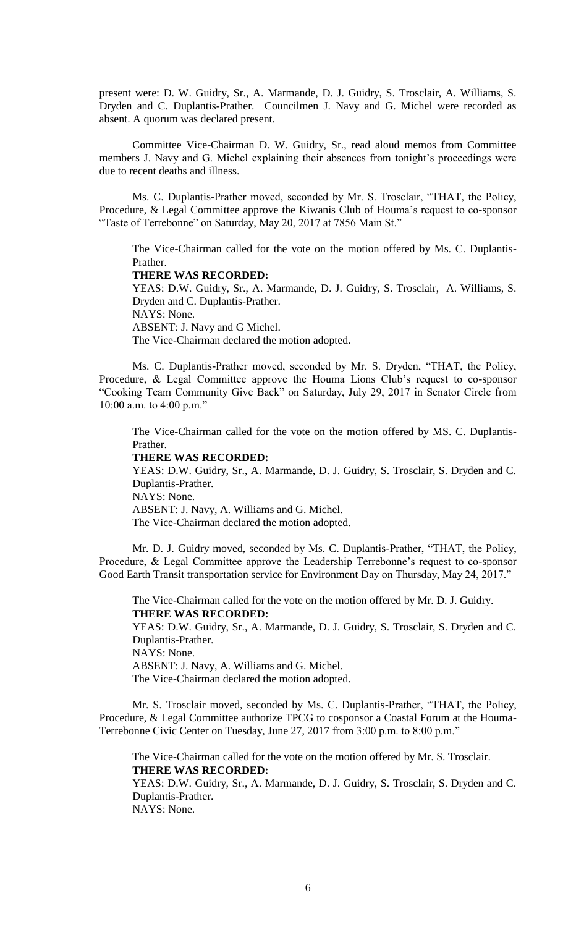present were: D. W. Guidry, Sr., A. Marmande, D. J. Guidry, S. Trosclair, A. Williams, S. Dryden and C. Duplantis-Prather. Councilmen J. Navy and G. Michel were recorded as absent. A quorum was declared present.

Committee Vice-Chairman D. W. Guidry, Sr., read aloud memos from Committee members J. Navy and G. Michel explaining their absences from tonight's proceedings were due to recent deaths and illness.

Ms. C. Duplantis-Prather moved, seconded by Mr. S. Trosclair, "THAT, the Policy, Procedure, & Legal Committee approve the Kiwanis Club of Houma's request to co-sponsor "Taste of Terrebonne" on Saturday, May 20, 2017 at 7856 Main St."

The Vice-Chairman called for the vote on the motion offered by Ms. C. Duplantis-Prather.

#### **THERE WAS RECORDED:**

YEAS: D.W. Guidry, Sr., A. Marmande, D. J. Guidry, S. Trosclair, A. Williams, S. Dryden and C. Duplantis-Prather. NAYS: None. ABSENT: J. Navy and G Michel. The Vice-Chairman declared the motion adopted.

 Ms. C. Duplantis-Prather moved, seconded by Mr. S. Dryden, "THAT, the Policy, Procedure, & Legal Committee approve the Houma Lions Club's request to co-sponsor "Cooking Team Community Give Back" on Saturday, July 29, 2017 in Senator Circle from 10:00 a.m. to 4:00 p.m."

The Vice-Chairman called for the vote on the motion offered by MS. C. Duplantis-Prather.

#### **THERE WAS RECORDED:**

YEAS: D.W. Guidry, Sr., A. Marmande, D. J. Guidry, S. Trosclair, S. Dryden and C. Duplantis-Prather. NAYS: None. ABSENT: J. Navy, A. Williams and G. Michel. The Vice-Chairman declared the motion adopted.

Mr. D. J. Guidry moved, seconded by Ms. C. Duplantis-Prather, "THAT, the Policy, Procedure, & Legal Committee approve the Leadership Terrebonne's request to co-sponsor Good Earth Transit transportation service for Environment Day on Thursday, May 24, 2017."

The Vice-Chairman called for the vote on the motion offered by Mr. D. J. Guidry. **THERE WAS RECORDED:** YEAS: D.W. Guidry, Sr., A. Marmande, D. J. Guidry, S. Trosclair, S. Dryden and C. Duplantis-Prather. NAYS: None. ABSENT: J. Navy, A. Williams and G. Michel. The Vice-Chairman declared the motion adopted.

Mr. S. Trosclair moved, seconded by Ms. C. Duplantis-Prather, "THAT, the Policy, Procedure, & Legal Committee authorize TPCG to cosponsor a Coastal Forum at the Houma-Terrebonne Civic Center on Tuesday, June 27, 2017 from 3:00 p.m. to 8:00 p.m."

The Vice-Chairman called for the vote on the motion offered by Mr. S. Trosclair. **THERE WAS RECORDED:**

YEAS: D.W. Guidry, Sr., A. Marmande, D. J. Guidry, S. Trosclair, S. Dryden and C. Duplantis-Prather.

NAYS: None.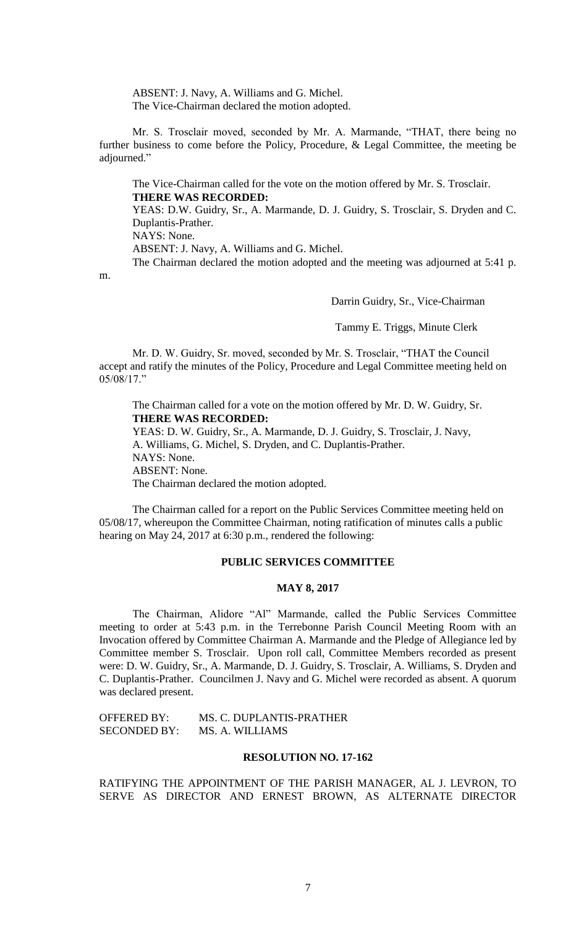ABSENT: J. Navy, A. Williams and G. Michel. The Vice-Chairman declared the motion adopted.

Mr. S. Trosclair moved, seconded by Mr. A. Marmande, "THAT, there being no further business to come before the Policy, Procedure, & Legal Committee, the meeting be adjourned."

The Vice-Chairman called for the vote on the motion offered by Mr. S. Trosclair. **THERE WAS RECORDED:**

YEAS: D.W. Guidry, Sr., A. Marmande, D. J. Guidry, S. Trosclair, S. Dryden and C. Duplantis-Prather.

NAYS: None.

m.

ABSENT: J. Navy, A. Williams and G. Michel.

The Chairman declared the motion adopted and the meeting was adjourned at 5:41 p.

Darrin Guidry, Sr., Vice-Chairman

Tammy E. Triggs, Minute Clerk

Mr. D. W. Guidry, Sr. moved, seconded by Mr. S. Trosclair, "THAT the Council accept and ratify the minutes of the Policy, Procedure and Legal Committee meeting held on 05/08/17."

The Chairman called for a vote on the motion offered by Mr. D. W. Guidry, Sr. **THERE WAS RECORDED:** YEAS: D. W. Guidry, Sr., A. Marmande, D. J. Guidry, S. Trosclair, J. Navy, A. Williams, G. Michel, S. Dryden, and C. Duplantis-Prather. NAYS: None. ABSENT: None. The Chairman declared the motion adopted.

The Chairman called for a report on the Public Services Committee meeting held on 05/08/17, whereupon the Committee Chairman, noting ratification of minutes calls a public hearing on May 24, 2017 at 6:30 p.m., rendered the following:

## **PUBLIC SERVICES COMMITTEE**

## **MAY 8, 2017**

The Chairman, Alidore "Al" Marmande, called the Public Services Committee meeting to order at 5:43 p.m. in the Terrebonne Parish Council Meeting Room with an Invocation offered by Committee Chairman A. Marmande and the Pledge of Allegiance led by Committee member S. Trosclair. Upon roll call, Committee Members recorded as present were: D. W. Guidry, Sr., A. Marmande, D. J. Guidry, S. Trosclair, A. Williams, S. Dryden and C. Duplantis-Prather. Councilmen J. Navy and G. Michel were recorded as absent. A quorum was declared present.

OFFERED BY: MS. C. DUPLANTIS-PRATHER SECONDED BY: MS. A. WILLIAMS

## **RESOLUTION NO. 17-162**

RATIFYING THE APPOINTMENT OF THE PARISH MANAGER, AL J. LEVRON, TO SERVE AS DIRECTOR AND ERNEST BROWN, AS ALTERNATE DIRECTOR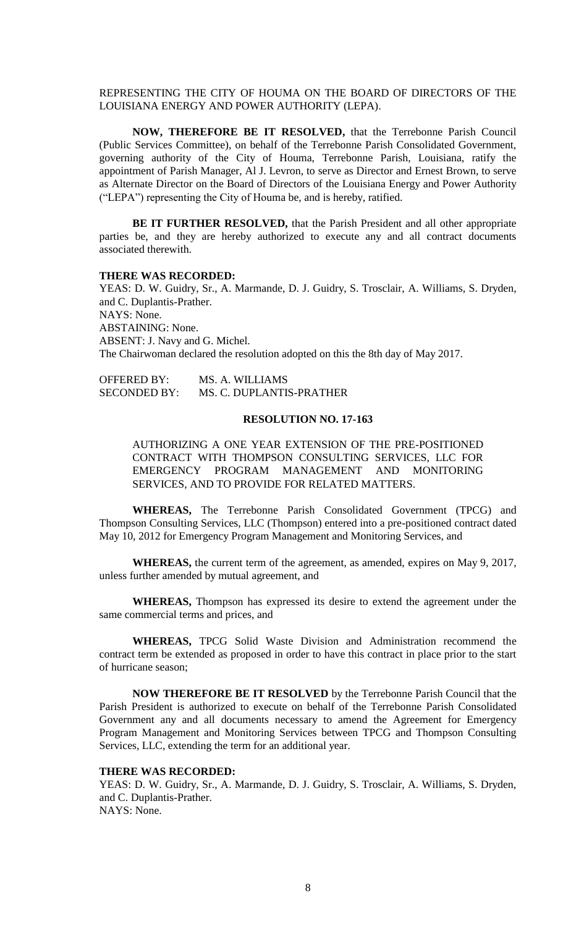## REPRESENTING THE CITY OF HOUMA ON THE BOARD OF DIRECTORS OF THE LOUISIANA ENERGY AND POWER AUTHORITY (LEPA).

**NOW, THEREFORE BE IT RESOLVED,** that the Terrebonne Parish Council (Public Services Committee), on behalf of the Terrebonne Parish Consolidated Government, governing authority of the City of Houma, Terrebonne Parish, Louisiana, ratify the appointment of Parish Manager, Al J. Levron, to serve as Director and Ernest Brown, to serve as Alternate Director on the Board of Directors of the Louisiana Energy and Power Authority ("LEPA") representing the City of Houma be, and is hereby, ratified.

**BE IT FURTHER RESOLVED,** that the Parish President and all other appropriate parties be, and they are hereby authorized to execute any and all contract documents associated therewith.

#### **THERE WAS RECORDED:**

YEAS: D. W. Guidry, Sr., A. Marmande, D. J. Guidry, S. Trosclair, A. Williams, S. Dryden, and C. Duplantis-Prather. NAYS: None. ABSTAINING: None. ABSENT: J. Navy and G. Michel. The Chairwoman declared the resolution adopted on this the 8th day of May 2017.

OFFERED BY: MS. A. WILLIAMS SECONDED BY: MS. C. DUPLANTIS-PRATHER

#### **RESOLUTION NO. 17-163**

AUTHORIZING A ONE YEAR EXTENSION OF THE PRE-POSITIONED CONTRACT WITH THOMPSON CONSULTING SERVICES, LLC FOR EMERGENCY PROGRAM MANAGEMENT AND MONITORING SERVICES, AND TO PROVIDE FOR RELATED MATTERS.

**WHEREAS,** The Terrebonne Parish Consolidated Government (TPCG) and Thompson Consulting Services, LLC (Thompson) entered into a pre-positioned contract dated May 10, 2012 for Emergency Program Management and Monitoring Services, and

**WHEREAS,** the current term of the agreement, as amended, expires on May 9, 2017, unless further amended by mutual agreement, and

**WHEREAS,** Thompson has expressed its desire to extend the agreement under the same commercial terms and prices, and

**WHEREAS,** TPCG Solid Waste Division and Administration recommend the contract term be extended as proposed in order to have this contract in place prior to the start of hurricane season;

**NOW THEREFORE BE IT RESOLVED** by the Terrebonne Parish Council that the Parish President is authorized to execute on behalf of the Terrebonne Parish Consolidated Government any and all documents necessary to amend the Agreement for Emergency Program Management and Monitoring Services between TPCG and Thompson Consulting Services, LLC, extending the term for an additional year.

#### **THERE WAS RECORDED:**

YEAS: D. W. Guidry, Sr., A. Marmande, D. J. Guidry, S. Trosclair, A. Williams, S. Dryden, and C. Duplantis-Prather. NAYS: None.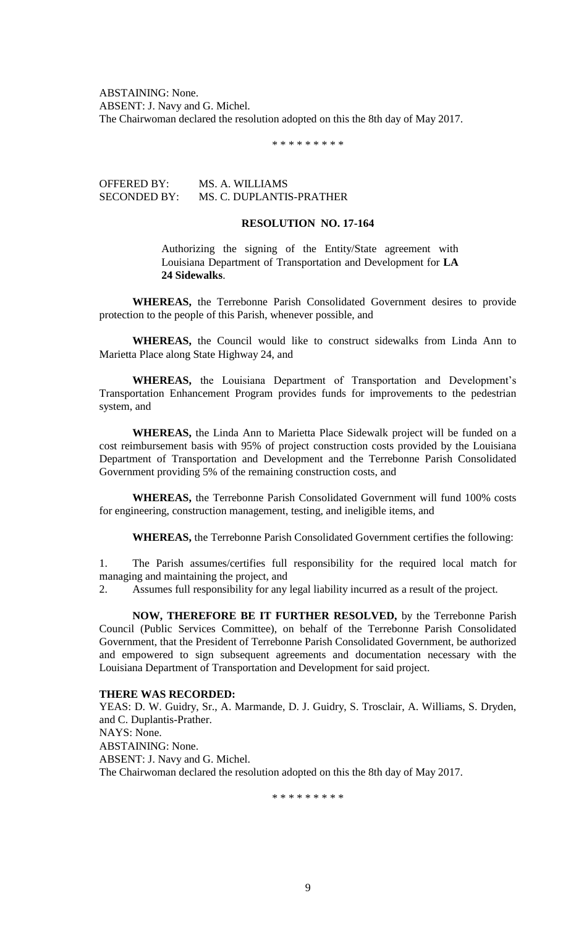ABSTAINING: None. ABSENT: J. Navy and G. Michel. The Chairwoman declared the resolution adopted on this the 8th day of May 2017.

\* \* \* \* \* \* \* \* \*

OFFERED BY: MS. A. WILLIAMS SECONDED BY: MS. C. DUPLANTIS-PRATHER

## **RESOLUTION NO. 17-164**

Authorizing the signing of the Entity/State agreement with Louisiana Department of Transportation and Development for **LA 24 Sidewalks**.

**WHEREAS,** the Terrebonne Parish Consolidated Government desires to provide protection to the people of this Parish, whenever possible, and

**WHEREAS,** the Council would like to construct sidewalks from Linda Ann to Marietta Place along State Highway 24, and

**WHEREAS,** the Louisiana Department of Transportation and Development's Transportation Enhancement Program provides funds for improvements to the pedestrian system, and

**WHEREAS,** the Linda Ann to Marietta Place Sidewalk project will be funded on a cost reimbursement basis with 95% of project construction costs provided by the Louisiana Department of Transportation and Development and the Terrebonne Parish Consolidated Government providing 5% of the remaining construction costs, and

**WHEREAS,** the Terrebonne Parish Consolidated Government will fund 100% costs for engineering, construction management, testing, and ineligible items, and

**WHEREAS,** the Terrebonne Parish Consolidated Government certifies the following:

1. The Parish assumes/certifies full responsibility for the required local match for managing and maintaining the project, and

2. Assumes full responsibility for any legal liability incurred as a result of the project.

**NOW, THEREFORE BE IT FURTHER RESOLVED,** by the Terrebonne Parish Council (Public Services Committee), on behalf of the Terrebonne Parish Consolidated Government, that the President of Terrebonne Parish Consolidated Government, be authorized and empowered to sign subsequent agreements and documentation necessary with the Louisiana Department of Transportation and Development for said project.

#### **THERE WAS RECORDED:**

YEAS: D. W. Guidry, Sr., A. Marmande, D. J. Guidry, S. Trosclair, A. Williams, S. Dryden, and C. Duplantis-Prather. NAYS: None. ABSTAINING: None. ABSENT: J. Navy and G. Michel. The Chairwoman declared the resolution adopted on this the 8th day of May 2017.

\* \* \* \* \* \* \* \* \*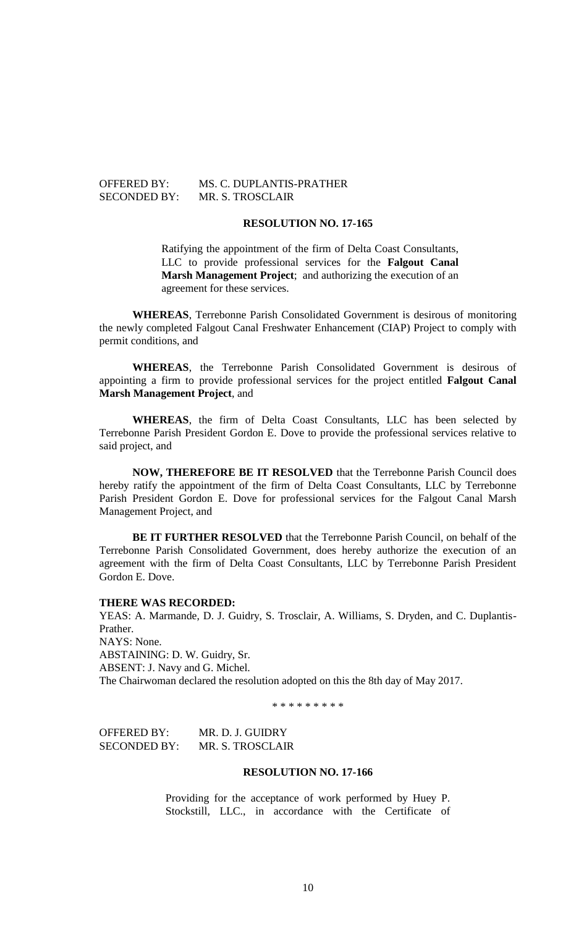## OFFERED BY: MS. C. DUPLANTIS-PRATHER SECONDED BY: MR. S. TROSCLAIR

## **RESOLUTION NO. 17-165**

Ratifying the appointment of the firm of Delta Coast Consultants, LLC to provide professional services for the **Falgout Canal Marsh Management Project**; and authorizing the execution of an agreement for these services.

**WHEREAS**, Terrebonne Parish Consolidated Government is desirous of monitoring the newly completed Falgout Canal Freshwater Enhancement (CIAP) Project to comply with permit conditions, and

**WHEREAS**, the Terrebonne Parish Consolidated Government is desirous of appointing a firm to provide professional services for the project entitled **Falgout Canal Marsh Management Project**, and

**WHEREAS**, the firm of Delta Coast Consultants, LLC has been selected by Terrebonne Parish President Gordon E. Dove to provide the professional services relative to said project, and

**NOW, THEREFORE BE IT RESOLVED** that the Terrebonne Parish Council does hereby ratify the appointment of the firm of Delta Coast Consultants, LLC by Terrebonne Parish President Gordon E. Dove for professional services for the Falgout Canal Marsh Management Project, and

**BE IT FURTHER RESOLVED** that the Terrebonne Parish Council, on behalf of the Terrebonne Parish Consolidated Government, does hereby authorize the execution of an agreement with the firm of Delta Coast Consultants, LLC by Terrebonne Parish President Gordon E. Dove.

#### **THERE WAS RECORDED:**

YEAS: A. Marmande, D. J. Guidry, S. Trosclair, A. Williams, S. Dryden, and C. Duplantis-Prather. NAYS: None. ABSTAINING: D. W. Guidry, Sr.

ABSENT: J. Navy and G. Michel. The Chairwoman declared the resolution adopted on this the 8th day of May 2017.

\* \* \* \* \* \* \* \* \*

OFFERED BY: MR. D. J. GUIDRY SECONDED BY: MR. S. TROSCLAIR

## **RESOLUTION NO. 17-166**

Providing for the acceptance of work performed by Huey P. Stockstill, LLC., in accordance with the Certificate of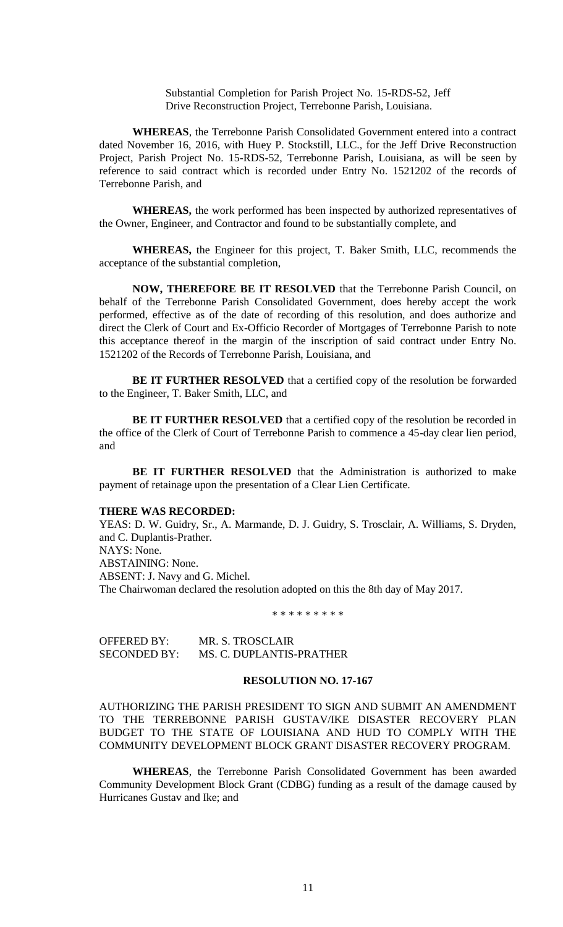Substantial Completion for Parish Project No. 15-RDS-52, Jeff Drive Reconstruction Project, Terrebonne Parish, Louisiana.

**WHEREAS**, the Terrebonne Parish Consolidated Government entered into a contract dated November 16, 2016, with Huey P. Stockstill, LLC., for the Jeff Drive Reconstruction Project, Parish Project No. 15-RDS-52, Terrebonne Parish, Louisiana, as will be seen by reference to said contract which is recorded under Entry No. 1521202 of the records of Terrebonne Parish, and

**WHEREAS,** the work performed has been inspected by authorized representatives of the Owner, Engineer, and Contractor and found to be substantially complete, and

**WHEREAS,** the Engineer for this project, T. Baker Smith, LLC, recommends the acceptance of the substantial completion,

**NOW, THEREFORE BE IT RESOLVED** that the Terrebonne Parish Council, on behalf of the Terrebonne Parish Consolidated Government, does hereby accept the work performed, effective as of the date of recording of this resolution, and does authorize and direct the Clerk of Court and Ex-Officio Recorder of Mortgages of Terrebonne Parish to note this acceptance thereof in the margin of the inscription of said contract under Entry No. 1521202 of the Records of Terrebonne Parish, Louisiana, and

**BE IT FURTHER RESOLVED** that a certified copy of the resolution be forwarded to the Engineer, T. Baker Smith, LLC, and

**BE IT FURTHER RESOLVED** that a certified copy of the resolution be recorded in the office of the Clerk of Court of Terrebonne Parish to commence a 45-day clear lien period, and

**BE IT FURTHER RESOLVED** that the Administration is authorized to make payment of retainage upon the presentation of a Clear Lien Certificate.

#### **THERE WAS RECORDED:**

YEAS: D. W. Guidry, Sr., A. Marmande, D. J. Guidry, S. Trosclair, A. Williams, S. Dryden, and C. Duplantis-Prather. NAYS: None. ABSTAINING: None. ABSENT: J. Navy and G. Michel. The Chairwoman declared the resolution adopted on this the 8th day of May 2017.

\* \* \* \* \* \* \* \* \*

| OFFERED BY:         | MR. S. TROSCLAIR         |
|---------------------|--------------------------|
| <b>SECONDED BY:</b> | MS. C. DUPLANTIS-PRATHER |

#### **RESOLUTION NO. 17-167**

AUTHORIZING THE PARISH PRESIDENT TO SIGN AND SUBMIT AN AMENDMENT TO THE TERREBONNE PARISH GUSTAV/IKE DISASTER RECOVERY PLAN BUDGET TO THE STATE OF LOUISIANA AND HUD TO COMPLY WITH THE COMMUNITY DEVELOPMENT BLOCK GRANT DISASTER RECOVERY PROGRAM.

**WHEREAS**, the Terrebonne Parish Consolidated Government has been awarded Community Development Block Grant (CDBG) funding as a result of the damage caused by Hurricanes Gustav and Ike; and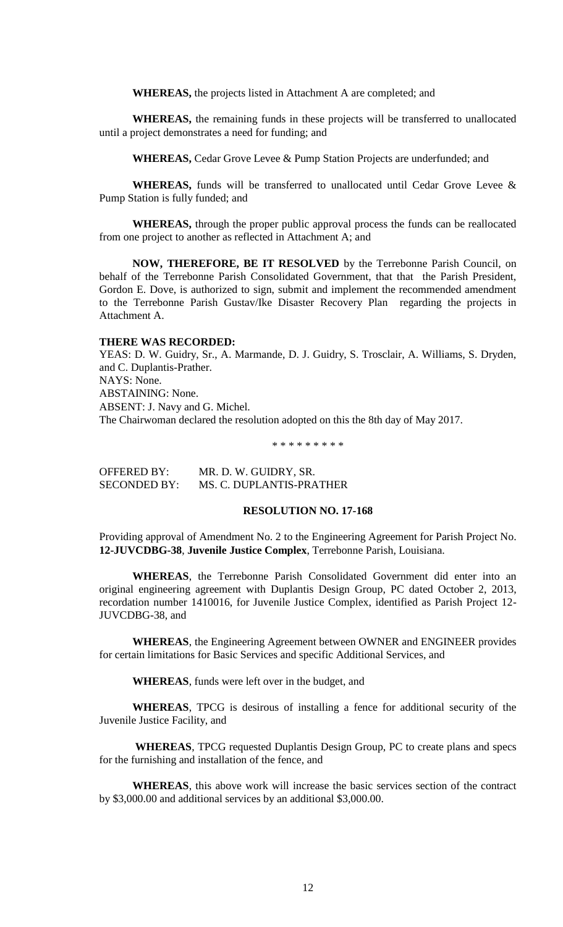**WHEREAS,** the projects listed in Attachment A are completed; and

**WHEREAS,** the remaining funds in these projects will be transferred to unallocated until a project demonstrates a need for funding; and

**WHEREAS,** Cedar Grove Levee & Pump Station Projects are underfunded; and

WHEREAS, funds will be transferred to unallocated until Cedar Grove Levee & Pump Station is fully funded; and

**WHEREAS,** through the proper public approval process the funds can be reallocated from one project to another as reflected in Attachment A; and

**NOW, THEREFORE, BE IT RESOLVED** by the Terrebonne Parish Council, on behalf of the Terrebonne Parish Consolidated Government, that that the Parish President, Gordon E. Dove, is authorized to sign, submit and implement the recommended amendment to the Terrebonne Parish Gustav/Ike Disaster Recovery Plan regarding the projects in Attachment A.

#### **THERE WAS RECORDED:**

YEAS: D. W. Guidry, Sr., A. Marmande, D. J. Guidry, S. Trosclair, A. Williams, S. Dryden, and C. Duplantis-Prather. NAYS: None. ABSTAINING: None. ABSENT: J. Navy and G. Michel. The Chairwoman declared the resolution adopted on this the 8th day of May 2017.

\* \* \* \* \* \* \* \* \*

OFFERED BY: MR. D. W. GUIDRY, SR. SECONDED BY: MS. C. DUPLANTIS-PRATHER

## **RESOLUTION NO. 17-168**

Providing approval of Amendment No. 2 to the Engineering Agreement for Parish Project No. **12-JUVCDBG-38**, **Juvenile Justice Complex**, Terrebonne Parish, Louisiana.

**WHEREAS**, the Terrebonne Parish Consolidated Government did enter into an original engineering agreement with Duplantis Design Group, PC dated October 2, 2013, recordation number 1410016, for Juvenile Justice Complex, identified as Parish Project 12- JUVCDBG-38, and

**WHEREAS**, the Engineering Agreement between OWNER and ENGINEER provides for certain limitations for Basic Services and specific Additional Services, and

**WHEREAS**, funds were left over in the budget, and

**WHEREAS**, TPCG is desirous of installing a fence for additional security of the Juvenile Justice Facility, and

**WHEREAS**, TPCG requested Duplantis Design Group, PC to create plans and specs for the furnishing and installation of the fence, and

**WHEREAS**, this above work will increase the basic services section of the contract by \$3,000.00 and additional services by an additional \$3,000.00.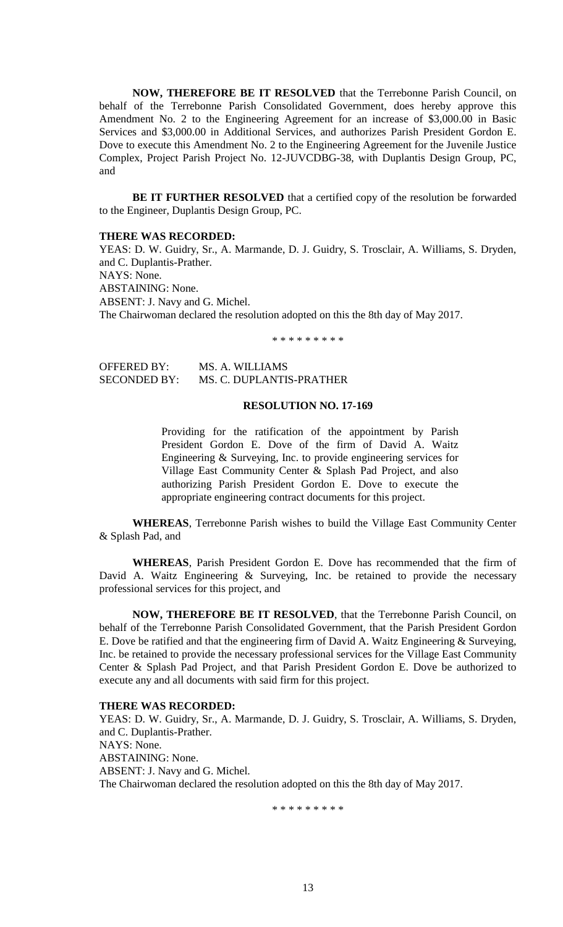**NOW, THEREFORE BE IT RESOLVED** that the Terrebonne Parish Council, on behalf of the Terrebonne Parish Consolidated Government, does hereby approve this Amendment No. 2 to the Engineering Agreement for an increase of \$3,000.00 in Basic Services and \$3,000.00 in Additional Services, and authorizes Parish President Gordon E. Dove to execute this Amendment No. 2 to the Engineering Agreement for the Juvenile Justice Complex, Project Parish Project No. 12-JUVCDBG-38, with Duplantis Design Group, PC, and

**BE IT FURTHER RESOLVED** that a certified copy of the resolution be forwarded to the Engineer, Duplantis Design Group, PC.

#### **THERE WAS RECORDED:**

YEAS: D. W. Guidry, Sr., A. Marmande, D. J. Guidry, S. Trosclair, A. Williams, S. Dryden, and C. Duplantis-Prather. NAYS: None. ABSTAINING: None. ABSENT: J. Navy and G. Michel. The Chairwoman declared the resolution adopted on this the 8th day of May 2017.

\* \* \* \* \* \* \* \* \*

OFFERED BY: MS. A. WILLIAMS SECONDED BY: MS. C. DUPLANTIS-PRATHER

## **RESOLUTION NO. 17-169**

Providing for the ratification of the appointment by Parish President Gordon E. Dove of the firm of David A. Waitz Engineering & Surveying, Inc. to provide engineering services for Village East Community Center & Splash Pad Project, and also authorizing Parish President Gordon E. Dove to execute the appropriate engineering contract documents for this project.

**WHEREAS**, Terrebonne Parish wishes to build the Village East Community Center & Splash Pad, and

**WHEREAS**, Parish President Gordon E. Dove has recommended that the firm of David A. Waitz Engineering & Surveying, Inc. be retained to provide the necessary professional services for this project, and

**NOW, THEREFORE BE IT RESOLVED**, that the Terrebonne Parish Council, on behalf of the Terrebonne Parish Consolidated Government, that the Parish President Gordon E. Dove be ratified and that the engineering firm of David A. Waitz Engineering & Surveying, Inc. be retained to provide the necessary professional services for the Village East Community Center & Splash Pad Project, and that Parish President Gordon E. Dove be authorized to execute any and all documents with said firm for this project.

## **THERE WAS RECORDED:**

YEAS: D. W. Guidry, Sr., A. Marmande, D. J. Guidry, S. Trosclair, A. Williams, S. Dryden, and C. Duplantis-Prather. NAYS: None. ABSTAINING: None. ABSENT: J. Navy and G. Michel. The Chairwoman declared the resolution adopted on this the 8th day of May 2017.

\* \* \* \* \* \* \* \* \*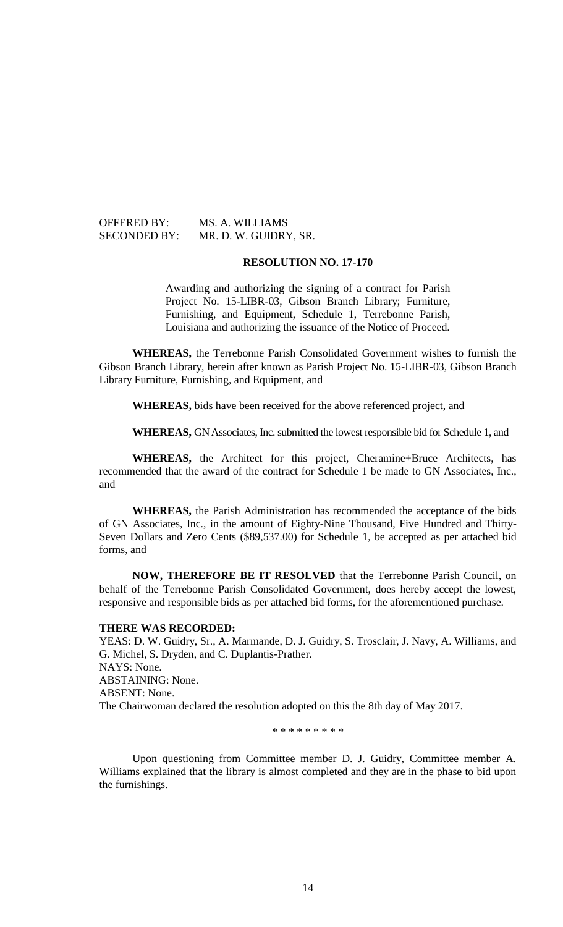OFFERED BY: MS. A. WILLIAMS SECONDED BY: MR. D. W. GUIDRY, SR.

#### **RESOLUTION NO. 17-170**

Awarding and authorizing the signing of a contract for Parish Project No. 15-LIBR-03, Gibson Branch Library; Furniture, Furnishing, and Equipment, Schedule 1, Terrebonne Parish, Louisiana and authorizing the issuance of the Notice of Proceed.

**WHEREAS,** the Terrebonne Parish Consolidated Government wishes to furnish the Gibson Branch Library, herein after known as Parish Project No. 15-LIBR-03, Gibson Branch Library Furniture, Furnishing, and Equipment, and

**WHEREAS,** bids have been received for the above referenced project, and

**WHEREAS,** GN Associates, Inc. submitted the lowest responsible bid for Schedule 1, and

**WHEREAS,** the Architect for this project, Cheramine+Bruce Architects, has recommended that the award of the contract for Schedule 1 be made to GN Associates, Inc., and

**WHEREAS,** the Parish Administration has recommended the acceptance of the bids of GN Associates, Inc., in the amount of Eighty-Nine Thousand, Five Hundred and Thirty-Seven Dollars and Zero Cents (\$89,537.00) for Schedule 1, be accepted as per attached bid forms, and

**NOW, THEREFORE BE IT RESOLVED** that the Terrebonne Parish Council, on behalf of the Terrebonne Parish Consolidated Government, does hereby accept the lowest, responsive and responsible bids as per attached bid forms, for the aforementioned purchase.

#### **THERE WAS RECORDED:**

YEAS: D. W. Guidry, Sr., A. Marmande, D. J. Guidry, S. Trosclair, J. Navy, A. Williams, and G. Michel, S. Dryden, and C. Duplantis-Prather. NAYS: None. ABSTAINING: None. ABSENT: None. The Chairwoman declared the resolution adopted on this the 8th day of May 2017.

\* \* \* \* \* \* \* \* \*

Upon questioning from Committee member D. J. Guidry, Committee member A. Williams explained that the library is almost completed and they are in the phase to bid upon the furnishings.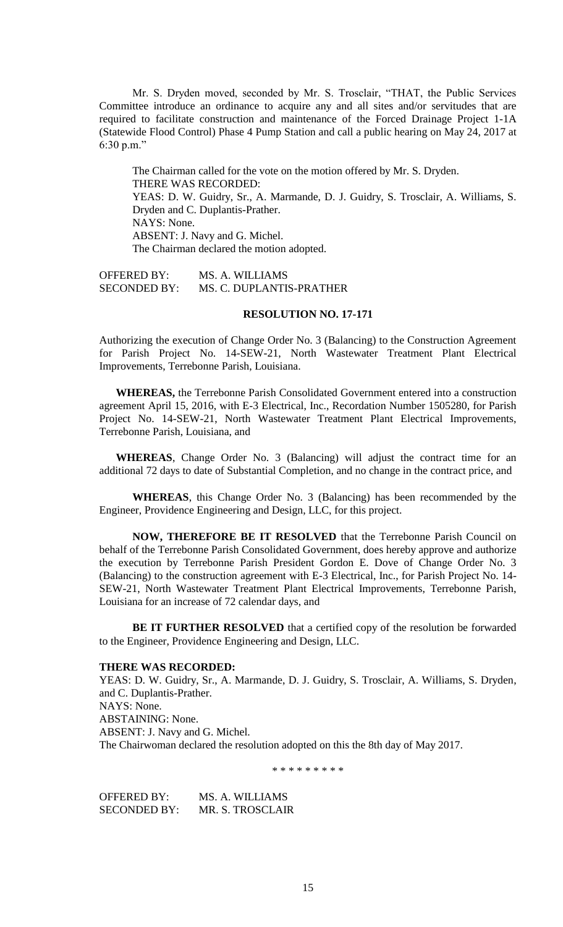Mr. S. Dryden moved, seconded by Mr. S. Trosclair, "THAT, the Public Services Committee introduce an ordinance to acquire any and all sites and/or servitudes that are required to facilitate construction and maintenance of the Forced Drainage Project 1-1A (Statewide Flood Control) Phase 4 Pump Station and call a public hearing on May 24, 2017 at 6:30 p.m."

The Chairman called for the vote on the motion offered by Mr. S. Dryden. THERE WAS RECORDED: YEAS: D. W. Guidry, Sr., A. Marmande, D. J. Guidry, S. Trosclair, A. Williams, S. Dryden and C. Duplantis-Prather. NAYS: None. ABSENT: J. Navy and G. Michel. The Chairman declared the motion adopted.

OFFERED BY: MS. A. WILLIAMS SECONDED BY: MS. C. DUPLANTIS-PRATHER

#### **RESOLUTION NO. 17-171**

Authorizing the execution of Change Order No. 3 (Balancing) to the Construction Agreement for Parish Project No. 14-SEW-21, North Wastewater Treatment Plant Electrical Improvements, Terrebonne Parish, Louisiana.

**WHEREAS,** the Terrebonne Parish Consolidated Government entered into a construction agreement April 15, 2016, with E-3 Electrical, Inc., Recordation Number 1505280, for Parish Project No. 14-SEW-21, North Wastewater Treatment Plant Electrical Improvements, Terrebonne Parish, Louisiana, and

**WHEREAS**, Change Order No. 3 (Balancing) will adjust the contract time for an additional 72 days to date of Substantial Completion, and no change in the contract price, and

**WHEREAS**, this Change Order No. 3 (Balancing) has been recommended by the Engineer, Providence Engineering and Design, LLC, for this project.

**NOW, THEREFORE BE IT RESOLVED** that the Terrebonne Parish Council on behalf of the Terrebonne Parish Consolidated Government, does hereby approve and authorize the execution by Terrebonne Parish President Gordon E. Dove of Change Order No. 3 (Balancing) to the construction agreement with E-3 Electrical, Inc., for Parish Project No. 14- SEW-21, North Wastewater Treatment Plant Electrical Improvements, Terrebonne Parish, Louisiana for an increase of 72 calendar days, and

**BE IT FURTHER RESOLVED** that a certified copy of the resolution be forwarded to the Engineer, Providence Engineering and Design, LLC.

#### **THERE WAS RECORDED:**

YEAS: D. W. Guidry, Sr., A. Marmande, D. J. Guidry, S. Trosclair, A. Williams, S. Dryden, and C. Duplantis-Prather. NAYS: None. ABSTAINING: None. ABSENT: J. Navy and G. Michel. The Chairwoman declared the resolution adopted on this the 8th day of May 2017.

\* \* \* \* \* \* \* \* \*

OFFERED BY: MS. A. WILLIAMS SECONDED BY: MR. S. TROSCLAIR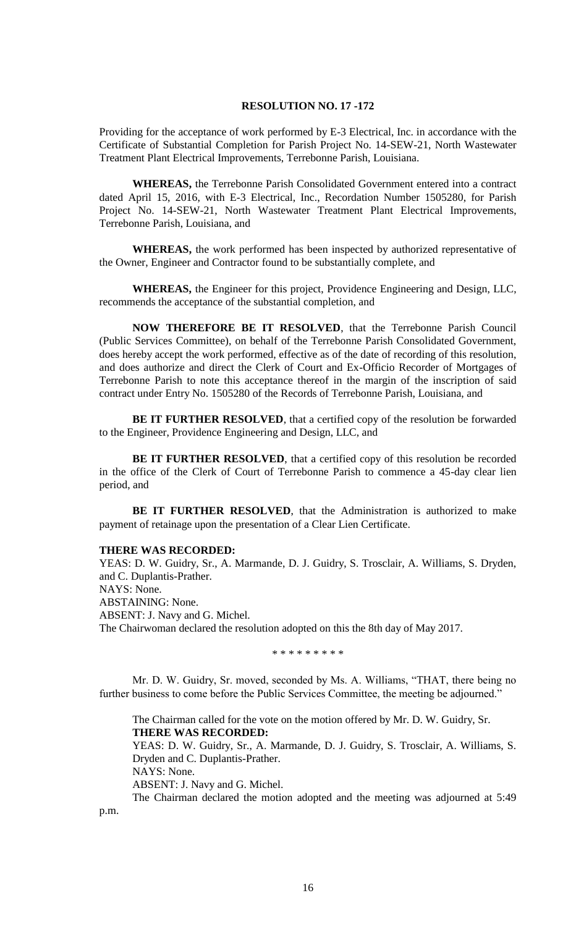## **RESOLUTION NO. 17 -172**

Providing for the acceptance of work performed by E-3 Electrical, Inc. in accordance with the Certificate of Substantial Completion for Parish Project No. 14-SEW-21, North Wastewater Treatment Plant Electrical Improvements, Terrebonne Parish, Louisiana.

**WHEREAS,** the Terrebonne Parish Consolidated Government entered into a contract dated April 15, 2016, with E-3 Electrical, Inc., Recordation Number 1505280, for Parish Project No. 14-SEW-21, North Wastewater Treatment Plant Electrical Improvements, Terrebonne Parish, Louisiana, and

**WHEREAS,** the work performed has been inspected by authorized representative of the Owner, Engineer and Contractor found to be substantially complete, and

**WHEREAS,** the Engineer for this project, Providence Engineering and Design, LLC, recommends the acceptance of the substantial completion, and

**NOW THEREFORE BE IT RESOLVED**, that the Terrebonne Parish Council (Public Services Committee), on behalf of the Terrebonne Parish Consolidated Government, does hereby accept the work performed, effective as of the date of recording of this resolution, and does authorize and direct the Clerk of Court and Ex-Officio Recorder of Mortgages of Terrebonne Parish to note this acceptance thereof in the margin of the inscription of said contract under Entry No. 1505280 of the Records of Terrebonne Parish, Louisiana, and

**BE IT FURTHER RESOLVED**, that a certified copy of the resolution be forwarded to the Engineer, Providence Engineering and Design, LLC, and

BE IT FURTHER RESOLVED, that a certified copy of this resolution be recorded in the office of the Clerk of Court of Terrebonne Parish to commence a 45-day clear lien period, and

**BE IT FURTHER RESOLVED**, that the Administration is authorized to make payment of retainage upon the presentation of a Clear Lien Certificate.

#### **THERE WAS RECORDED:**

YEAS: D. W. Guidry, Sr., A. Marmande, D. J. Guidry, S. Trosclair, A. Williams, S. Dryden, and C. Duplantis-Prather. NAYS: None. ABSTAINING: None. ABSENT: J. Navy and G. Michel. The Chairwoman declared the resolution adopted on this the 8th day of May 2017.

\* \* \* \* \* \* \* \* \*

Mr. D. W. Guidry, Sr. moved, seconded by Ms. A. Williams, "THAT, there being no further business to come before the Public Services Committee, the meeting be adjourned."

The Chairman called for the vote on the motion offered by Mr. D. W. Guidry, Sr. **THERE WAS RECORDED:**

YEAS: D. W. Guidry, Sr., A. Marmande, D. J. Guidry, S. Trosclair, A. Williams, S. Dryden and C. Duplantis-Prather.

NAYS: None.

ABSENT: J. Navy and G. Michel.

The Chairman declared the motion adopted and the meeting was adjourned at 5:49

p.m.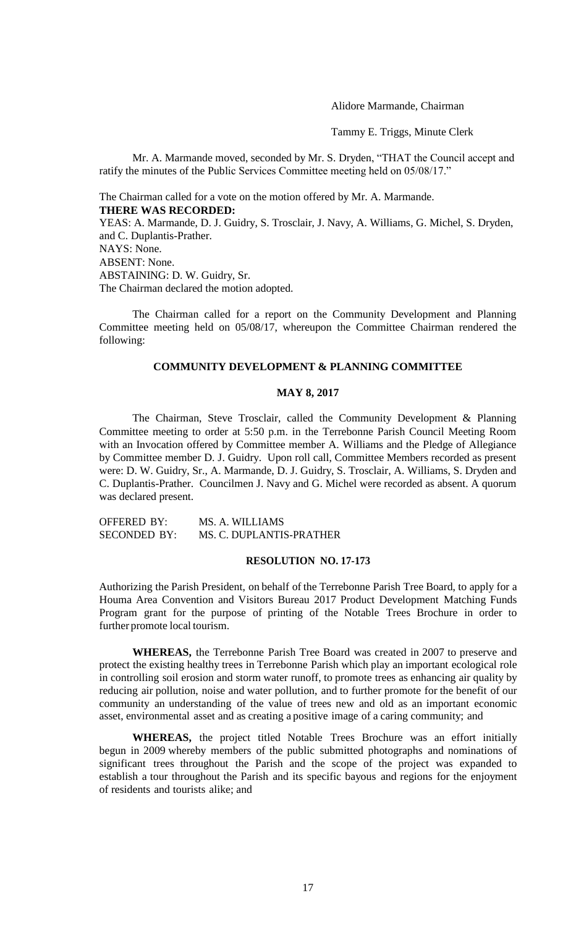Alidore Marmande, Chairman

Tammy E. Triggs, Minute Clerk

Mr. A. Marmande moved, seconded by Mr. S. Dryden, "THAT the Council accept and ratify the minutes of the Public Services Committee meeting held on 05/08/17."

The Chairman called for a vote on the motion offered by Mr. A. Marmande. **THERE WAS RECORDED:**

YEAS: A. Marmande, D. J. Guidry, S. Trosclair, J. Navy, A. Williams, G. Michel, S. Dryden, and C. Duplantis-Prather. NAYS: None. ABSENT: None. ABSTAINING: D. W. Guidry, Sr. The Chairman declared the motion adopted.

The Chairman called for a report on the Community Development and Planning Committee meeting held on 05/08/17, whereupon the Committee Chairman rendered the following:

## **COMMUNITY DEVELOPMENT & PLANNING COMMITTEE**

## **MAY 8, 2017**

The Chairman, Steve Trosclair, called the Community Development & Planning Committee meeting to order at 5:50 p.m. in the Terrebonne Parish Council Meeting Room with an Invocation offered by Committee member A. Williams and the Pledge of Allegiance by Committee member D. J. Guidry. Upon roll call, Committee Members recorded as present were: D. W. Guidry, Sr., A. Marmande, D. J. Guidry, S. Trosclair, A. Williams, S. Dryden and C. Duplantis-Prather. Councilmen J. Navy and G. Michel were recorded as absent. A quorum was declared present.

OFFERED BY: MS. A. WILLIAMS SECONDED BY: MS. C. DUPLANTIS-PRATHER

#### **RESOLUTION NO. 17-173**

Authorizing the Parish President, on behalf of the Terrebonne Parish Tree Board, to apply for a Houma Area Convention and Visitors Bureau 2017 Product Development Matching Funds Program grant for the purpose of printing of the Notable Trees Brochure in order to further promote local tourism.

**WHEREAS,** the Terrebonne Parish Tree Board was created in 2007 to preserve and protect the existing healthy trees in Terrebonne Parish which play an important ecological role in controlling soil erosion and storm water runoff, to promote trees as enhancing air quality by reducing air pollution, noise and water pollution, and to further promote for the benefit of our community an understanding of the value of trees new and old as an important economic asset, environmental asset and as creating a positive image of a caring community; and

**WHEREAS,** the project titled Notable Trees Brochure was an effort initially begun in 2009 whereby members of the public submitted photographs and nominations of significant trees throughout the Parish and the scope of the project was expanded to establish a tour throughout the Parish and its specific bayous and regions for the enjoyment of residents and tourists alike; and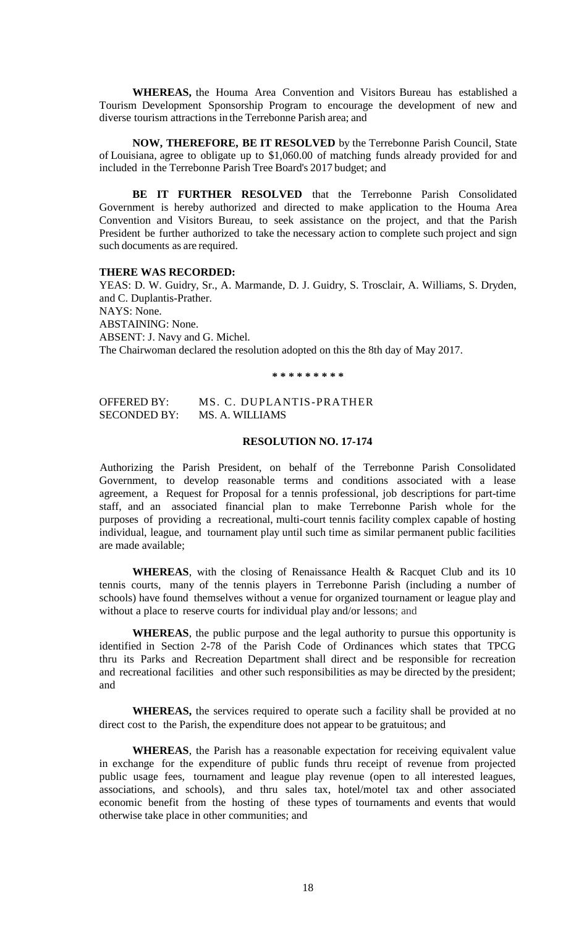**WHEREAS,** the Houma Area Convention and Visitors Bureau has established a Tourism Development Sponsorship Program to encourage the development of new and diverse tourism attractions in the Terrebonne Parish area; and

**NOW, THEREFORE, BE IT RESOLVED** by the Terrebonne Parish Council, State of Louisiana, agree to obligate up to \$1,060.00 of matching funds already provided for and included in the Terrebonne Parish Tree Board's 2017 budget; and

**BE IT FURTHER RESOLVED** that the Terrebonne Parish Consolidated Government is hereby authorized and directed to make application to the Houma Area Convention and Visitors Bureau, to seek assistance on the project, and that the Parish President be further authorized to take the necessary action to complete such project and sign such documents as are required.

## **THERE WAS RECORDED:**

YEAS: D. W. Guidry, Sr., A. Marmande, D. J. Guidry, S. Trosclair, A. Williams, S. Dryden, and C. Duplantis-Prather. NAYS: None. ABSTAINING: None. ABSENT: J. Navy and G. Michel. The Chairwoman declared the resolution adopted on this the 8th day of May 2017.

**\* \* \* \* \* \* \* \* \***

OFFERED BY: MS. C. DUPLANTIS-PRATHER SECONDED BY: MS. A. WILLIAMS

#### **RESOLUTION NO. 17-174**

Authorizing the Parish President, on behalf of the Terrebonne Parish Consolidated Government, to develop reasonable terms and conditions associated with a lease agreement, a Request for Proposal for a tennis professional, job descriptions for part-time staff, and an associated financial plan to make Terrebonne Parish whole for the purposes of providing a recreational, multi-court tennis facility complex capable of hosting individual, league, and tournament play until such time as similar permanent public facilities are made available;

WHEREAS, with the closing of Renaissance Health & Racquet Club and its 10 tennis courts, many of the tennis players in Terrebonne Parish (including a number of schools) have found themselves without a venue for organized tournament or league play and without a place to reserve courts for individual play and/or lessons; and

**WHEREAS**, the public purpose and the legal authority to pursue this opportunity is identified in Section 2-78 of the Parish Code of Ordinances which states that TPCG thru its Parks and Recreation Department shall direct and be responsible for recreation and recreational facilities and other such responsibilities as may be directed by the president; and

**WHEREAS,** the services required to operate such a facility shall be provided at no direct cost to the Parish, the expenditure does not appear to be gratuitous; and

**WHEREAS**, the Parish has a reasonable expectation for receiving equivalent value in exchange for the expenditure of public funds thru receipt of revenue from projected public usage fees, tournament and league play revenue (open to all interested leagues, associations, and schools), and thru sales tax, hotel/motel tax and other associated economic benefit from the hosting of these types of tournaments and events that would otherwise take place in other communities; and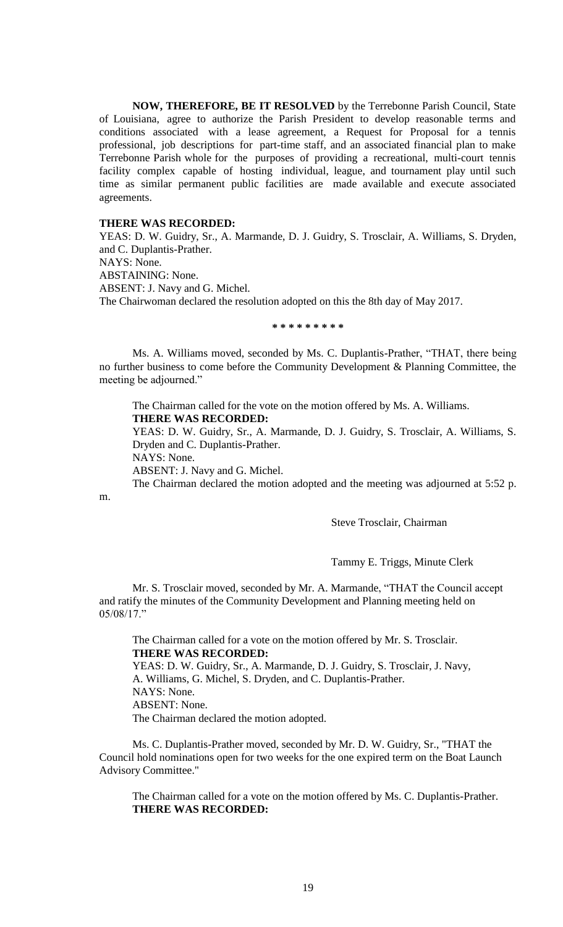**NOW, THEREFORE, BE IT RESOLVED** by the Terrebonne Parish Council, State of Louisiana, agree to authorize the Parish President to develop reasonable terms and conditions associated with a lease agreement, a Request for Proposal for a tennis professional, job descriptions for part-time staff, and an associated financial plan to make Terrebonne Parish whole for the purposes of providing a recreational, multi-court tennis facility complex capable of hosting individual, league, and tournament play until such time as similar permanent public facilities are made available and execute associated agreements.

## **THERE WAS RECORDED:**

YEAS: D. W. Guidry, Sr., A. Marmande, D. J. Guidry, S. Trosclair, A. Williams, S. Dryden, and C. Duplantis-Prather. NAYS: None. ABSTAINING: None. ABSENT: J. Navy and G. Michel. The Chairwoman declared the resolution adopted on this the 8th day of May 2017.

**\* \* \* \* \* \* \* \* \***

Ms. A. Williams moved, seconded by Ms. C. Duplantis-Prather, "THAT, there being no further business to come before the Community Development & Planning Committee, the meeting be adjourned."

The Chairman called for the vote on the motion offered by Ms. A. Williams. **THERE WAS RECORDED:**

YEAS: D. W. Guidry, Sr., A. Marmande, D. J. Guidry, S. Trosclair, A. Williams, S. Dryden and C. Duplantis-Prather. NAYS: None.

m.

ABSENT: J. Navy and G. Michel.

The Chairman declared the motion adopted and the meeting was adjourned at 5:52 p.

Steve Trosclair, Chairman

Tammy E. Triggs, Minute Clerk

Mr. S. Trosclair moved, seconded by Mr. A. Marmande, "THAT the Council accept and ratify the minutes of the Community Development and Planning meeting held on 05/08/17."

The Chairman called for a vote on the motion offered by Mr. S. Trosclair. **THERE WAS RECORDED:** YEAS: D. W. Guidry, Sr., A. Marmande, D. J. Guidry, S. Trosclair, J. Navy, A. Williams, G. Michel, S. Dryden, and C. Duplantis-Prather. NAYS: None. ABSENT: None.

The Chairman declared the motion adopted.

Ms. C. Duplantis-Prather moved, seconded by Mr. D. W. Guidry, Sr., "THAT the Council hold nominations open for two weeks for the one expired term on the Boat Launch Advisory Committee."

The Chairman called for a vote on the motion offered by Ms. C. Duplantis-Prather. **THERE WAS RECORDED:**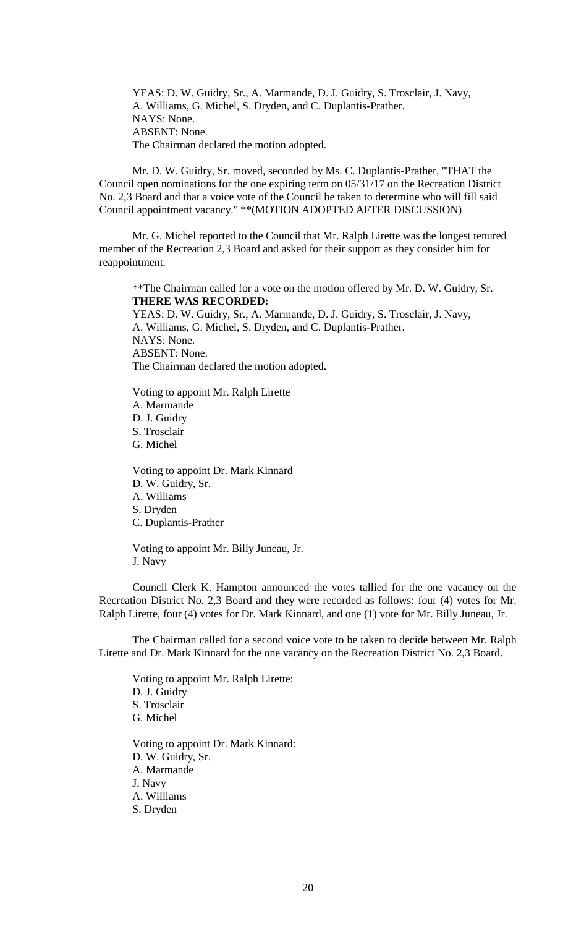YEAS: D. W. Guidry, Sr., A. Marmande, D. J. Guidry, S. Trosclair, J. Navy, A. Williams, G. Michel, S. Dryden, and C. Duplantis-Prather. NAYS: None. ABSENT: None. The Chairman declared the motion adopted.

Mr. D. W. Guidry, Sr. moved, seconded by Ms. C. Duplantis-Prather, "THAT the Council open nominations for the one expiring term on 05/31/17 on the Recreation District No. 2,3 Board and that a voice vote of the Council be taken to determine who will fill said Council appointment vacancy." \*\*(MOTION ADOPTED AFTER DISCUSSION)

Mr. G. Michel reported to the Council that Mr. Ralph Lirette was the longest tenured member of the Recreation 2,3 Board and asked for their support as they consider him for reappointment.

\*\*The Chairman called for a vote on the motion offered by Mr. D. W. Guidry, Sr. **THERE WAS RECORDED:** YEAS: D. W. Guidry, Sr., A. Marmande, D. J. Guidry, S. Trosclair, J. Navy, A. Williams, G. Michel, S. Dryden, and C. Duplantis-Prather. NAYS: None.

ABSENT: None. The Chairman declared the motion adopted.

Voting to appoint Mr. Ralph Lirette A. Marmande D. J. Guidry S. Trosclair G. Michel

Voting to appoint Dr. Mark Kinnard D. W. Guidry, Sr. A. Williams S. Dryden C. Duplantis-Prather

Voting to appoint Mr. Billy Juneau, Jr. J. Navy

Council Clerk K. Hampton announced the votes tallied for the one vacancy on the Recreation District No. 2,3 Board and they were recorded as follows: four (4) votes for Mr. Ralph Lirette, four (4) votes for Dr. Mark Kinnard, and one (1) vote for Mr. Billy Juneau, Jr.

The Chairman called for a second voice vote to be taken to decide between Mr. Ralph Lirette and Dr. Mark Kinnard for the one vacancy on the Recreation District No. 2,3 Board.

Voting to appoint Mr. Ralph Lirette: D. J. Guidry S. Trosclair G. Michel

Voting to appoint Dr. Mark Kinnard: D. W. Guidry, Sr. A. Marmande J. Navy A. Williams S. Dryden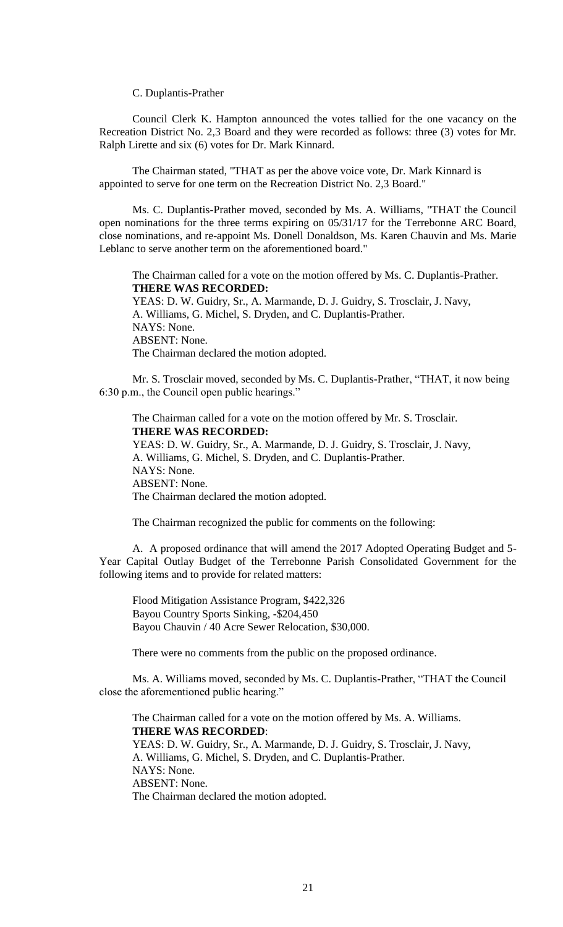C. Duplantis-Prather

Council Clerk K. Hampton announced the votes tallied for the one vacancy on the Recreation District No. 2,3 Board and they were recorded as follows: three (3) votes for Mr. Ralph Lirette and six (6) votes for Dr. Mark Kinnard.

The Chairman stated, "THAT as per the above voice vote, Dr. Mark Kinnard is appointed to serve for one term on the Recreation District No. 2,3 Board."

Ms. C. Duplantis-Prather moved, seconded by Ms. A. Williams, "THAT the Council open nominations for the three terms expiring on 05/31/17 for the Terrebonne ARC Board, close nominations, and re-appoint Ms. Donell Donaldson, Ms. Karen Chauvin and Ms. Marie Leblanc to serve another term on the aforementioned board."

The Chairman called for a vote on the motion offered by Ms. C. Duplantis-Prather. **THERE WAS RECORDED:**

YEAS: D. W. Guidry, Sr., A. Marmande, D. J. Guidry, S. Trosclair, J. Navy, A. Williams, G. Michel, S. Dryden, and C. Duplantis-Prather. NAYS: None. ABSENT: None. The Chairman declared the motion adopted.

Mr. S. Trosclair moved, seconded by Ms. C. Duplantis-Prather, "THAT, it now being 6:30 p.m., the Council open public hearings."

The Chairman called for a vote on the motion offered by Mr. S. Trosclair. **THERE WAS RECORDED:** YEAS: D. W. Guidry, Sr., A. Marmande, D. J. Guidry, S. Trosclair, J. Navy, A. Williams, G. Michel, S. Dryden, and C. Duplantis-Prather. NAYS: None. ABSENT: None. The Chairman declared the motion adopted.

The Chairman recognized the public for comments on the following:

A. A proposed ordinance that will amend the 2017 Adopted Operating Budget and 5- Year Capital Outlay Budget of the Terrebonne Parish Consolidated Government for the following items and to provide for related matters:

Flood Mitigation Assistance Program, \$422,326 Bayou Country Sports Sinking, -\$204,450 Bayou Chauvin / 40 Acre Sewer Relocation, \$30,000.

There were no comments from the public on the proposed ordinance.

Ms. A. Williams moved, seconded by Ms. C. Duplantis-Prather, "THAT the Council close the aforementioned public hearing."

The Chairman called for a vote on the motion offered by Ms. A. Williams. **THERE WAS RECORDED**: YEAS: D. W. Guidry, Sr., A. Marmande, D. J. Guidry, S. Trosclair, J. Navy, A. Williams, G. Michel, S. Dryden, and C. Duplantis-Prather. NAYS: None. ABSENT: None. The Chairman declared the motion adopted.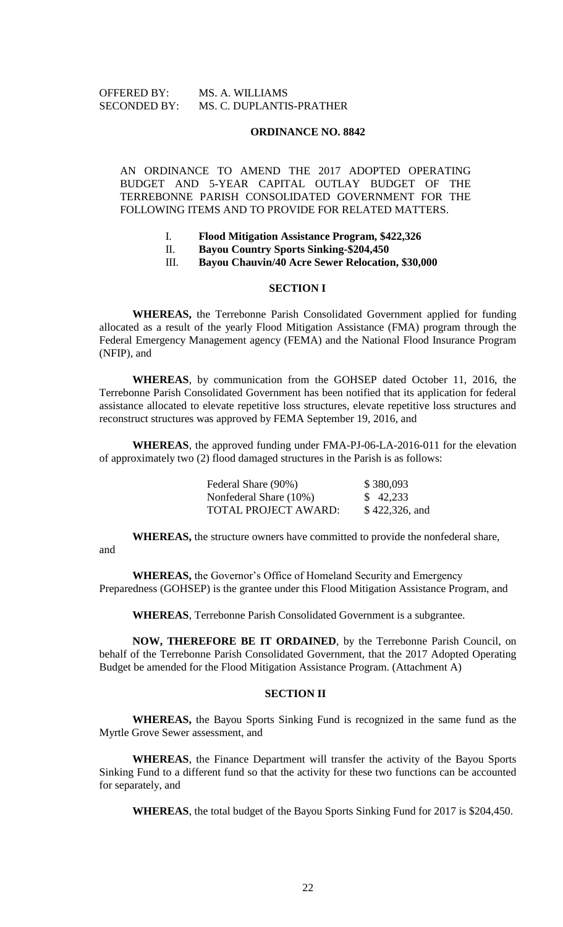#### **ORDINANCE NO. 8842**

AN ORDINANCE TO AMEND THE 2017 ADOPTED OPERATING BUDGET AND 5-YEAR CAPITAL OUTLAY BUDGET OF THE TERREBONNE PARISH CONSOLIDATED GOVERNMENT FOR THE FOLLOWING ITEMS AND TO PROVIDE FOR RELATED MATTERS.

- I. **Flood Mitigation Assistance Program, \$422,326**
- II. **Bayou Country Sports Sinking-\$204,450**
- III. **Bayou Chauvin/40 Acre Sewer Relocation, \$30,000**

#### **SECTION I**

**WHEREAS,** the Terrebonne Parish Consolidated Government applied for funding allocated as a result of the yearly Flood Mitigation Assistance (FMA) program through the Federal Emergency Management agency (FEMA) and the National Flood Insurance Program (NFIP), and

**WHEREAS**, by communication from the GOHSEP dated October 11, 2016, the Terrebonne Parish Consolidated Government has been notified that its application for federal assistance allocated to elevate repetitive loss structures, elevate repetitive loss structures and reconstruct structures was approved by FEMA September 19, 2016, and

**WHEREAS**, the approved funding under FMA-PJ-06-LA-2016-011 for the elevation of approximately two (2) flood damaged structures in the Parish is as follows:

| Federal Share (90%)    | \$380,093      |
|------------------------|----------------|
| Nonfederal Share (10%) | \$42,233       |
| TOTAL PROJECT AWARD:   | \$422,326, and |

**WHEREAS,** the structure owners have committed to provide the nonfederal share,

and

**WHEREAS,** the Governor's Office of Homeland Security and Emergency Preparedness (GOHSEP) is the grantee under this Flood Mitigation Assistance Program, and

**WHEREAS**, Terrebonne Parish Consolidated Government is a subgrantee.

**NOW, THEREFORE BE IT ORDAINED**, by the Terrebonne Parish Council, on behalf of the Terrebonne Parish Consolidated Government, that the 2017 Adopted Operating Budget be amended for the Flood Mitigation Assistance Program. (Attachment A)

# **SECTION II**

**WHEREAS,** the Bayou Sports Sinking Fund is recognized in the same fund as the Myrtle Grove Sewer assessment, and

**WHEREAS**, the Finance Department will transfer the activity of the Bayou Sports Sinking Fund to a different fund so that the activity for these two functions can be accounted for separately, and

**WHEREAS**, the total budget of the Bayou Sports Sinking Fund for 2017 is \$204,450.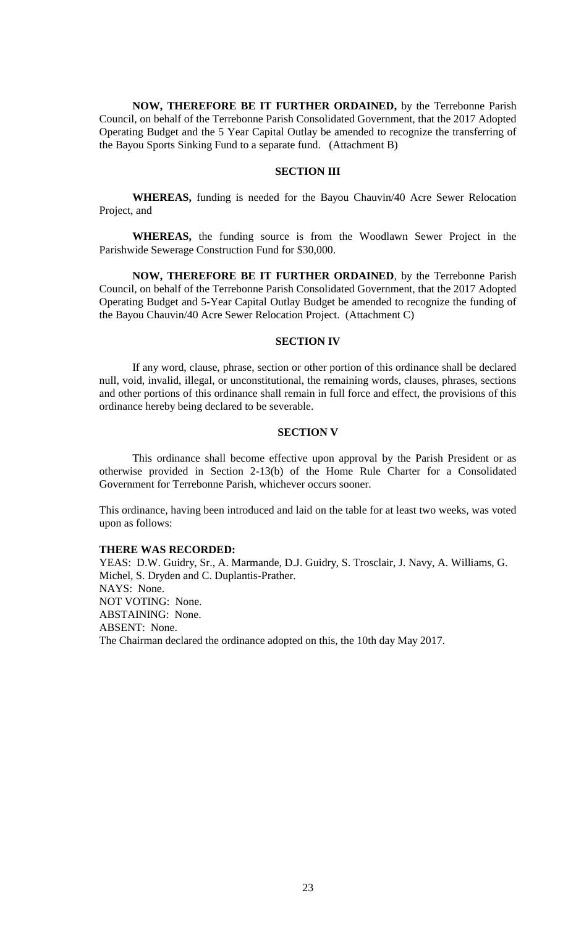**NOW, THEREFORE BE IT FURTHER ORDAINED,** by the Terrebonne Parish Council, on behalf of the Terrebonne Parish Consolidated Government, that the 2017 Adopted Operating Budget and the 5 Year Capital Outlay be amended to recognize the transferring of the Bayou Sports Sinking Fund to a separate fund. (Attachment B)

## **SECTION III**

**WHEREAS,** funding is needed for the Bayou Chauvin/40 Acre Sewer Relocation Project, and

**WHEREAS,** the funding source is from the Woodlawn Sewer Project in the Parishwide Sewerage Construction Fund for \$30,000.

**NOW, THEREFORE BE IT FURTHER ORDAINED**, by the Terrebonne Parish Council, on behalf of the Terrebonne Parish Consolidated Government, that the 2017 Adopted Operating Budget and 5-Year Capital Outlay Budget be amended to recognize the funding of the Bayou Chauvin/40 Acre Sewer Relocation Project. (Attachment C)

### **SECTION IV**

If any word, clause, phrase, section or other portion of this ordinance shall be declared null, void, invalid, illegal, or unconstitutional, the remaining words, clauses, phrases, sections and other portions of this ordinance shall remain in full force and effect, the provisions of this ordinance hereby being declared to be severable.

## **SECTION V**

This ordinance shall become effective upon approval by the Parish President or as otherwise provided in Section 2-13(b) of the Home Rule Charter for a Consolidated Government for Terrebonne Parish, whichever occurs sooner.

This ordinance, having been introduced and laid on the table for at least two weeks, was voted upon as follows:

#### **THERE WAS RECORDED:**

YEAS: D.W. Guidry, Sr., A. Marmande, D.J. Guidry, S. Trosclair, J. Navy, A. Williams, G. Michel, S. Dryden and C. Duplantis-Prather. NAYS: None. NOT VOTING: None. ABSTAINING: None. ABSENT: None. The Chairman declared the ordinance adopted on this, the 10th day May 2017.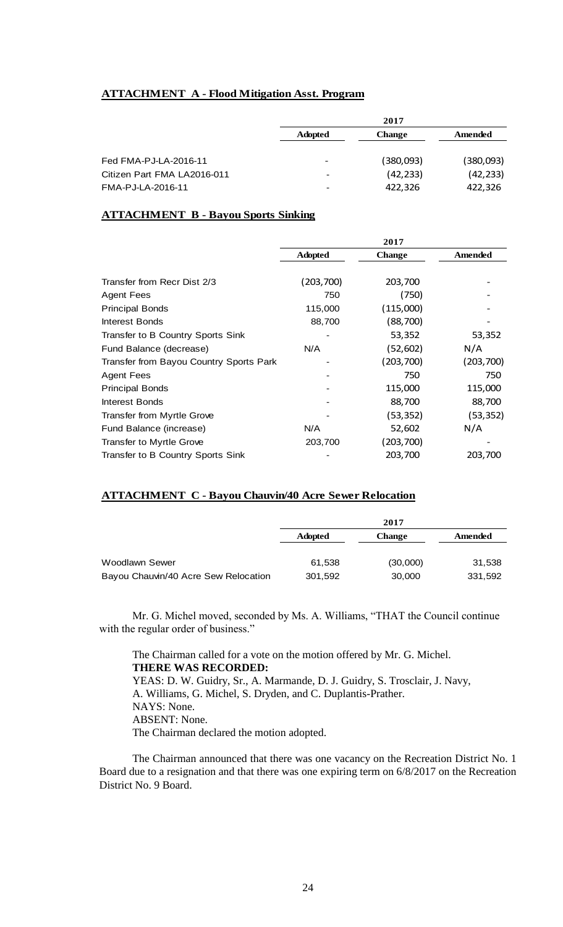# **ATTACHMENT A - Flood Mitigation Asst. Program**

|                             |                | 2017          |           |  |
|-----------------------------|----------------|---------------|-----------|--|
|                             | <b>Adopted</b> | <b>Change</b> | Amended   |  |
|                             |                |               |           |  |
| Fed FMA-PJ-LA-2016-11       |                | (380,093)     | (380,093) |  |
| Citizen Part FMA LA2016-011 |                | (42, 233)     | (42, 233) |  |
| FMA-PJ-LA-2016-11           |                | 422,326       | 422,326   |  |
|                             |                |               |           |  |

# **ATTACHMENT B - Bayou Sports Sinking**

|                                         | 2017           |               |            |
|-----------------------------------------|----------------|---------------|------------|
|                                         | <b>Adopted</b> | <b>Change</b> | Amended    |
|                                         |                |               |            |
| Transfer from Recr Dist 2/3             | (203, 700)     | 203,700       |            |
| <b>Agent Fees</b>                       | 750            | (750)         |            |
| <b>Principal Bonds</b>                  | 115,000        | (115,000)     |            |
| Interest Bonds                          | 88,700         | (88,700)      |            |
| Transfer to B Country Sports Sink       |                | 53,352        | 53,352     |
| Fund Balance (decrease)                 | N/A            | (52,602)      | N/A        |
| Transfer from Bayou Country Sports Park |                | (203,700)     | (203, 700) |
| <b>Agent Fees</b>                       |                | 750           | 750        |
| <b>Principal Bonds</b>                  |                | 115,000       | 115,000    |
| Interest Bonds                          |                | 88,700        | 88,700     |
| Transfer from Myrtle Grove              |                | (53,352)      | (53, 352)  |
| Fund Balance (increase)                 | N/A            | 52,602        | N/A        |
| Transfer to Myrtle Grove                | 203,700        | (203,700)     |            |
| Transfer to B Country Sports Sink       |                | 203,700       | 203,700    |

## **ATTACHMENT C - Bayou Chauvin/40 Acre Sewer Relocation**

|                                      | 2017           |               |         |
|--------------------------------------|----------------|---------------|---------|
|                                      | <b>Adopted</b> | <b>Change</b> | Amended |
|                                      |                |               |         |
| Woodlawn Sewer                       | 61,538         | (30,000)      | 31,538  |
| Bayou Chauvin/40 Acre Sew Relocation | 301,592        | 30,000        | 331,592 |

Mr. G. Michel moved, seconded by Ms. A. Williams, "THAT the Council continue with the regular order of business."

The Chairman called for a vote on the motion offered by Mr. G. Michel. **THERE WAS RECORDED:** YEAS: D. W. Guidry, Sr., A. Marmande, D. J. Guidry, S. Trosclair, J. Navy, A. Williams, G. Michel, S. Dryden, and C. Duplantis-Prather. NAYS: None. ABSENT: None. The Chairman declared the motion adopted.

The Chairman announced that there was one vacancy on the Recreation District No. 1 Board due to a resignation and that there was one expiring term on 6/8/2017 on the Recreation District No. 9 Board.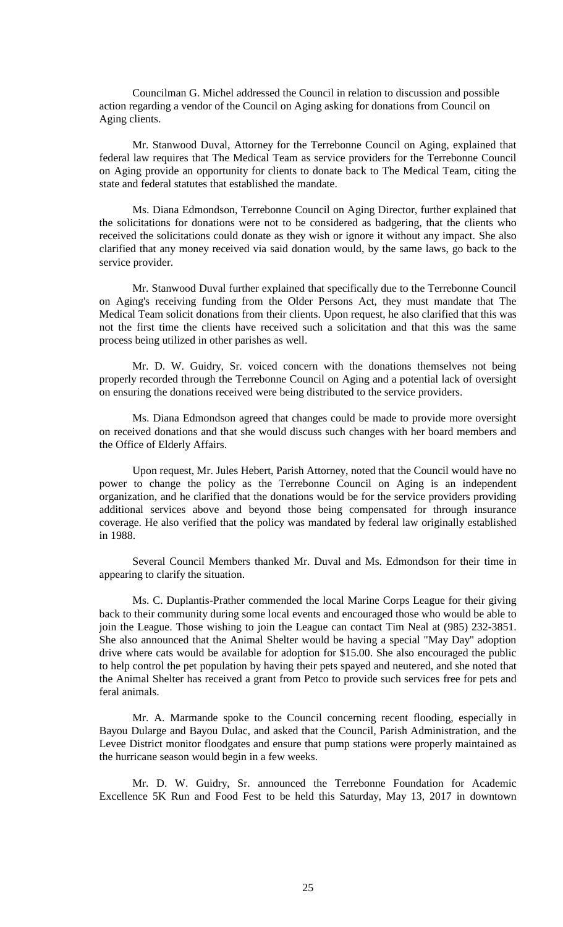Councilman G. Michel addressed the Council in relation to discussion and possible action regarding a vendor of the Council on Aging asking for donations from Council on Aging clients.

Mr. Stanwood Duval, Attorney for the Terrebonne Council on Aging, explained that federal law requires that The Medical Team as service providers for the Terrebonne Council on Aging provide an opportunity for clients to donate back to The Medical Team, citing the state and federal statutes that established the mandate.

Ms. Diana Edmondson, Terrebonne Council on Aging Director, further explained that the solicitations for donations were not to be considered as badgering, that the clients who received the solicitations could donate as they wish or ignore it without any impact. She also clarified that any money received via said donation would, by the same laws, go back to the service provider.

Mr. Stanwood Duval further explained that specifically due to the Terrebonne Council on Aging's receiving funding from the Older Persons Act, they must mandate that The Medical Team solicit donations from their clients. Upon request, he also clarified that this was not the first time the clients have received such a solicitation and that this was the same process being utilized in other parishes as well.

Mr. D. W. Guidry, Sr. voiced concern with the donations themselves not being properly recorded through the Terrebonne Council on Aging and a potential lack of oversight on ensuring the donations received were being distributed to the service providers.

Ms. Diana Edmondson agreed that changes could be made to provide more oversight on received donations and that she would discuss such changes with her board members and the Office of Elderly Affairs.

Upon request, Mr. Jules Hebert, Parish Attorney, noted that the Council would have no power to change the policy as the Terrebonne Council on Aging is an independent organization, and he clarified that the donations would be for the service providers providing additional services above and beyond those being compensated for through insurance coverage. He also verified that the policy was mandated by federal law originally established in 1988.

Several Council Members thanked Mr. Duval and Ms. Edmondson for their time in appearing to clarify the situation.

Ms. C. Duplantis-Prather commended the local Marine Corps League for their giving back to their community during some local events and encouraged those who would be able to join the League. Those wishing to join the League can contact Tim Neal at (985) 232-3851. She also announced that the Animal Shelter would be having a special "May Day" adoption drive where cats would be available for adoption for \$15.00. She also encouraged the public to help control the pet population by having their pets spayed and neutered, and she noted that the Animal Shelter has received a grant from Petco to provide such services free for pets and feral animals.

Mr. A. Marmande spoke to the Council concerning recent flooding, especially in Bayou Dularge and Bayou Dulac, and asked that the Council, Parish Administration, and the Levee District monitor floodgates and ensure that pump stations were properly maintained as the hurricane season would begin in a few weeks.

Mr. D. W. Guidry, Sr. announced the Terrebonne Foundation for Academic Excellence 5K Run and Food Fest to be held this Saturday, May 13, 2017 in downtown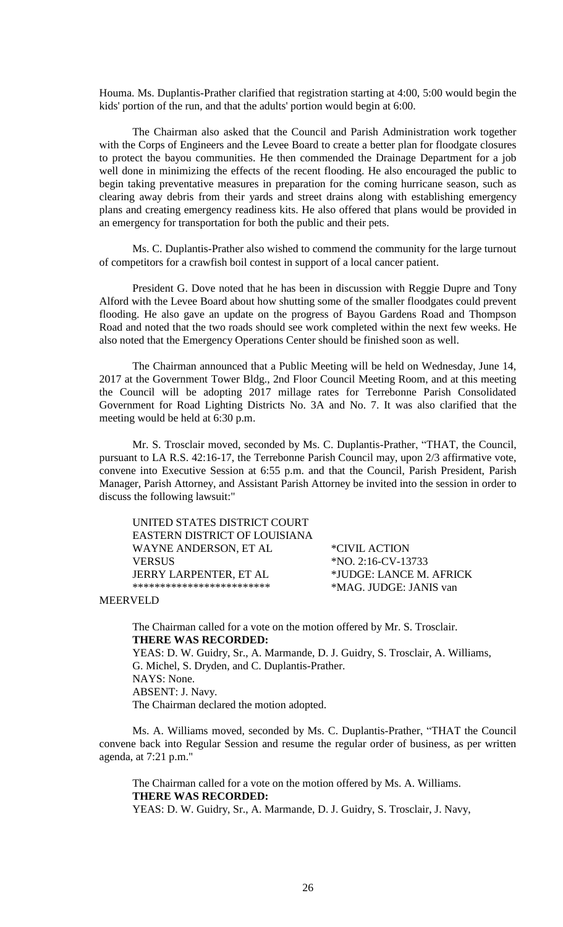Houma. Ms. Duplantis-Prather clarified that registration starting at 4:00, 5:00 would begin the kids' portion of the run, and that the adults' portion would begin at 6:00.

The Chairman also asked that the Council and Parish Administration work together with the Corps of Engineers and the Levee Board to create a better plan for floodgate closures to protect the bayou communities. He then commended the Drainage Department for a job well done in minimizing the effects of the recent flooding. He also encouraged the public to begin taking preventative measures in preparation for the coming hurricane season, such as clearing away debris from their yards and street drains along with establishing emergency plans and creating emergency readiness kits. He also offered that plans would be provided in an emergency for transportation for both the public and their pets.

Ms. C. Duplantis-Prather also wished to commend the community for the large turnout of competitors for a crawfish boil contest in support of a local cancer patient.

President G. Dove noted that he has been in discussion with Reggie Dupre and Tony Alford with the Levee Board about how shutting some of the smaller floodgates could prevent flooding. He also gave an update on the progress of Bayou Gardens Road and Thompson Road and noted that the two roads should see work completed within the next few weeks. He also noted that the Emergency Operations Center should be finished soon as well.

The Chairman announced that a Public Meeting will be held on Wednesday, June 14, 2017 at the Government Tower Bldg., 2nd Floor Council Meeting Room, and at this meeting the Council will be adopting 2017 millage rates for Terrebonne Parish Consolidated Government for Road Lighting Districts No. 3A and No. 7. It was also clarified that the meeting would be held at 6:30 p.m.

Mr. S. Trosclair moved, seconded by Ms. C. Duplantis-Prather, "THAT, the Council, pursuant to LA R.S. 42:16-17, the Terrebonne Parish Council may, upon 2/3 affirmative vote, convene into Executive Session at 6:55 p.m. and that the Council, Parish President, Parish Manager, Parish Attorney, and Assistant Parish Attorney be invited into the session in order to discuss the following lawsuit:"

UNITED STATES DISTRICT COURT EASTERN DISTRICT OF LOUISIANA WAYNE ANDERSON, ET AL \*CIVIL ACTION VERSUS \*NO. 2:16-CV-13733 JERRY LARPENTER, ET AL \*JUDGE: LANCE M. AFRICK \*\*\*\*\*\*\*\*\*\*\*\*\*\*\*\*\*\*\*\*\*\*\*\*\* \*MAG. JUDGE: JANIS van

MEERVELD

The Chairman called for a vote on the motion offered by Mr. S. Trosclair. **THERE WAS RECORDED:**

YEAS: D. W. Guidry, Sr., A. Marmande, D. J. Guidry, S. Trosclair, A. Williams, G. Michel, S. Dryden, and C. Duplantis-Prather. NAYS: None. ABSENT: J. Navy. The Chairman declared the motion adopted.

Ms. A. Williams moved, seconded by Ms. C. Duplantis-Prather, "THAT the Council convene back into Regular Session and resume the regular order of business, as per written agenda, at 7:21 p.m."

The Chairman called for a vote on the motion offered by Ms. A. Williams. **THERE WAS RECORDED:** YEAS: D. W. Guidry, Sr., A. Marmande, D. J. Guidry, S. Trosclair, J. Navy,